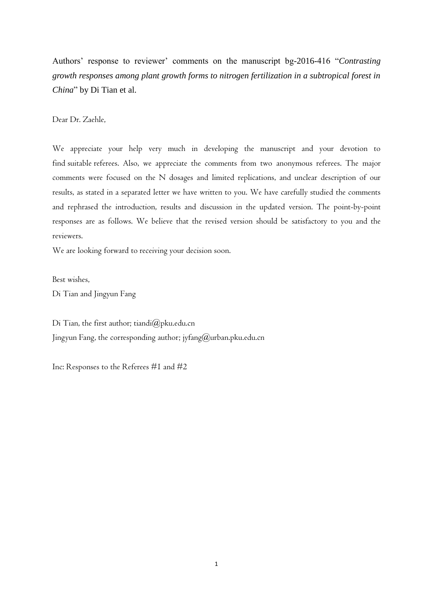Authors' response to reviewer' comments on the manuscript bg-2016-416 "*Contrasting growth responses among plant growth forms to nitrogen fertilization in a subtropical forest in China*" by Di Tian et al.

Dear Dr. Zaehle,

We appreciate your help very much in developing the manuscript and your devotion to find suitable referees. Also, we appreciate the comments from two anonymous referees. The major comments were focused on the N dosages and limited replications, and unclear description of our results, as stated in a separated letter we have written to you. We have carefully studied the comments and rephrased the introduction, results and discussion in the updated version. The point-by-point responses are as follows. We believe that the revised version should be satisfactory to you and the reviewers.

We are looking forward to receiving your decision soon.

Best wishes,

Di Tian and Jingyun Fang

Di Tian, the first author; [tiandi@pku.edu.cn](mailto:tiandi@pku.edu.cn) Jingyun Fang, the corresponding author; jyfang $(\omega)$ urban.pku.edu.cn

Inc: Responses to the Referees #1 and #2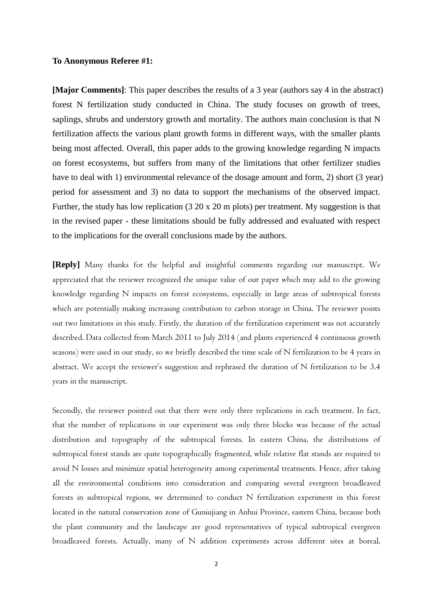#### **To Anonymous Referee #1:**

**[Major Comments]**: This paper describes the results of a 3 year (authors say 4 in the abstract) forest N fertilization study conducted in China. The study focuses on growth of trees, saplings, shrubs and understory growth and mortality. The authors main conclusion is that N fertilization affects the various plant growth forms in different ways, with the smaller plants being most affected. Overall, this paper adds to the growing knowledge regarding N impacts on forest ecosystems, but suffers from many of the limitations that other fertilizer studies have to deal with 1) environmental relevance of the dosage amount and form, 2) short (3 year) period for assessment and 3) no data to support the mechanisms of the observed impact. Further, the study has low replication (3 20 x 20 m plots) per treatment. My suggestion is that in the revised paper - these limitations should be fully addressed and evaluated with respect to the implications for the overall conclusions made by the authors.

**[Reply]** Many thanks for the helpful and insightful comments regarding our manuscript. We appreciated that the reviewer recognized the unique value of our paper which may add to the growing knowledge regarding N impacts on forest ecosystems, especially in large areas of subtropical forests which are potentially making increasing contribution to carbon storage in China. The reviewer points out two limitations in this study. Firstly, the duration of the fertilization experiment was not accurately described. Data collected from March 2011 to July 2014 (and plants experienced 4 continuous growth seasons) were used in our study, so we briefly described the time scale of N fertilization to be 4 years in abstract. We accept the reviewer's suggestion and rephrased the duration of N fertilization to be 3.4 years in the manuscript.

Secondly, the reviewer pointed out that there were only three replications in each treatment. In fact, that the number of replications in our experiment was only three blocks was because of the actual distribution and topography of the subtropical forests. In eastern China, the distributions of subtropical forest stands are quite topographically fragmented, while relative flat stands are required to avoid N losses and minimize spatial heterogeneity among experimental treatments. Hence, after taking all the environmental conditions into consideration and comparing several evergreen broadleaved forests in subtropical regions, we determined to conduct N fertilization experiment in this forest located in the natural conservation zone of Guniujiang in Anhui Province, eastern China, because both the plant community and the landscape are good representatives of typical subtropical evergreen broadleaved forests. Actually, many of N addition experiments across different sites at boreal,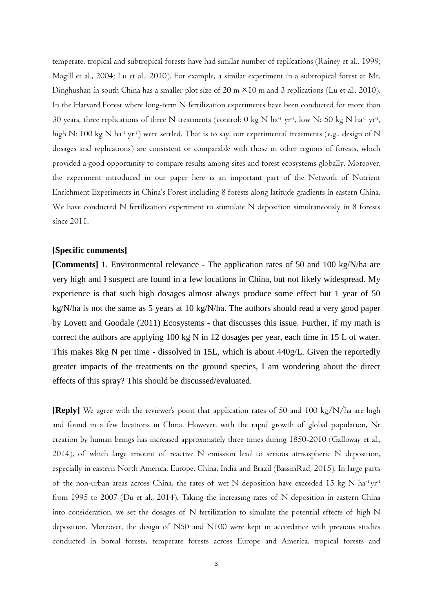temperate, tropical and subtropical forests have had similar number of replications (Rainey et al., 1999; Magill et al., 2004; Lu et al., 2010). For example, a similar experiment in a subtropical forest at Mt. Dinghushan in south China has a smaller plot size of 20 m ×10 m and 3 replications (Lu et al., 2010). In the Harvard Forest where long-term N fertilization experiments have been conducted for more than 30 years, three replications of three N treatments (control:  $0 \text{ kg N}$  ha<sup>-1</sup> yr<sup>-1</sup>, low N: 50 kg N ha<sup>-1</sup> yr<sup>-1</sup>, high N: 100 kg N ha<sup>-1</sup> yr<sup>-1</sup>) were settled. That is to say, our experimental treatments (e.g., design of N dosages and replications) are consistent or comparable with those in other regions of forests, which provided a good opportunity to compare results among sites and forest ecosystems globally. Moreover, the experiment introduced in our paper here is an important part of the Network of Nutrient Enrichment Experiments in China's Forest including 8 forests along latitude gradients in eastern China. We have conducted N fertilization experiment to stimulate N deposition simultaneously in 8 forests since 2011.

#### **[Specific comments]**

**[Comments]** 1. Environmental relevance - The application rates of 50 and 100 kg/N/ha are very high and I suspect are found in a few locations in China, but not likely widespread. My experience is that such high dosages almost always produce some effect but 1 year of 50 kg/N/ha is not the same as 5 years at 10 kg/N/ha. The authors should read a very good paper by Lovett and Goodale (2011) Ecosystems - that discusses this issue. Further, if my math is correct the authors are applying 100 kg N in 12 dosages per year, each time in 15 L of water. This makes 8kg N per time - dissolved in 15L, which is about 440g/L. Given the reportedly greater impacts of the treatments on the ground species, I am wondering about the direct effects of this spray? This should be discussed/evaluated.

**[Reply]** We agree with the reviewer's point that application rates of 50 and 100 kg/N/ha are high and found in a few locations in China. However, with the rapid growth of global population, Nr creation by human beings has increased approximately three times during 1850-2010 (Galloway et al., 2014), of which large amount of reactive N emission lead to serious atmospheric N deposition, especially in eastern North America, Europe, China, India and Brazil (BassiriRad, 2015). In large parts of the non-urban areas across China, the rates of wet N deposition have exceeded 15 kg N ha<sup>-1</sup> yr<sup>-1</sup> from 1995 to 2007 (Du et al., 2014). Taking the increasing rates of N deposition in eastern China into consideration, we set the dosages of N fertilization to simulate the potential effects of high N deposition. Moreover, the design of N50 and N100 were kept in accordance with previous studies conducted in boreal forests, temperate forests across Europe and America, tropical forests and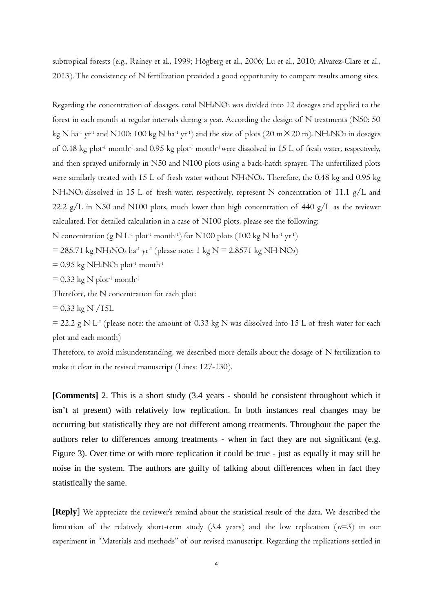subtropical forests (e.g., Rainey et al., 1999; Högberg et al., 2006; Lu et al., 2010; Alvarez-Clare et al., 2013). The consistency of N fertilization provided a good opportunity to compare results among sites.

Regarding the concentration of dosages, total NH4NO<sup>3</sup> was divided into 12 dosages and applied to the forest in each month [at](javascript:void(0);) [regular](javascript:void(0);) [intervals](javascript:void(0);) during a year. According the design of N treatments (N50: 50 kg N ha<sup>-1</sup> yr<sup>-1</sup> and N100: 100 kg N ha<sup>-1</sup> yr<sup>-1</sup>) and the size of plots (20 m×20 m), NH4NO<sub>3</sub> in dosages of 0.48 kg plot<sup>-1</sup> month<sup>-1</sup> and 0.95 kg plot<sup>-1</sup> month<sup>-1</sup> were dissolved in 15 L of fresh water, respectively, and then sprayed uniformly in N50 and N100 plots using a back-hatch sprayer. The unfertilized plots were similarly treated with 15 L of fresh water without NH<sub>4</sub>NO<sub>3</sub>. Therefore, the 0.48 kg and 0.95 kg NH4NO3 dissolved in 15 L of fresh water, respectively, represent N concentration of 11.1 g/L and 22.2 g/L in N50 and N100 plots, much lower than high concentration of 440 g/L as the reviewer calculated. For detailed calculation in a case of N100 plots, please see the following:

N concentration (g N L<sup>-1</sup> plot<sup>-1</sup> month<sup>-1</sup>) for N100 plots (100 kg N ha<sup>-1</sup> yr<sup>-1</sup>)

 $=$  285.71 kg NH4NO3 ha<sup>-1</sup> yr<sup>-1</sup> (please note: 1 kg N = 2.8571 kg NH4NO3)

 $= 0.95$  kg NH<sub>4</sub>NO<sub>3</sub> plot<sup>-1</sup> month<sup>-1</sup>

 $= 0.33$  kg N plot<sup>-1</sup> month<sup>-1</sup>

Therefore, the N concentration for each plot:

 $= 0.33$  kg N /15L

 $=$  22.2 g N L<sup>-1</sup> (please note: the amount of 0.33 kg N was dissolved into 15 L of fresh water for each plot and each month)

Therefore, to avoid misunderstanding, we described more details about the dosage of N fertilization to make it clear in the revised manuscript (Lines: 127-130).

**[Comments]** 2. This is a short study (3.4 years - should be consistent throughout which it isn't at present) with relatively low replication. In both instances real changes may be occurring but statistically they are not different among treatments. Throughout the paper the authors refer to differences among treatments - when in fact they are not significant (e.g. Figure 3). Over time or with more replication it could be true - just as equally it may still be noise in the system. The authors are guilty of talking about differences when in fact they statistically the same.

**[Reply**] We appreciate the reviewer's remind about the statistical result of the data. We described the limitation of the relatively short-term study (3.4 years) and the low replication  $(n=3)$  in our experiment in "Materials and methods" of our revised manuscript. Regarding the replications settled in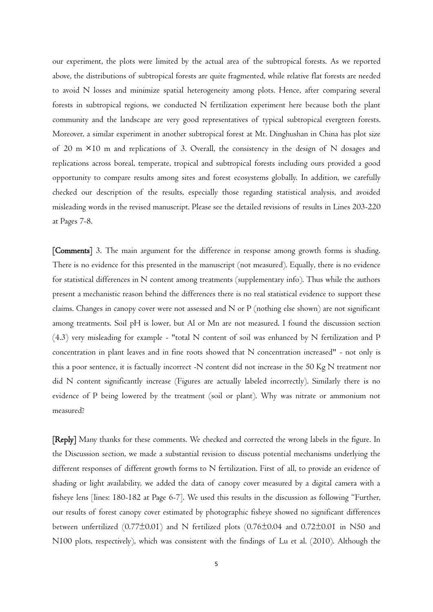our experiment, the plots were limited by the actual area of the subtropical forests. As we reported above, the distributions of subtropical forests are quite fragmented, while relative flat forests are needed to avoid N losses and minimize spatial heterogeneity among plots. Hence, after comparing several forests in subtropical regions, we conducted N fertilization experiment here because both the plant community and the landscape are very good representatives of typical subtropical evergreen forests. Moreover, a similar experiment in another subtropical forest at Mt. Dinghushan in China has plot size of 20 m ×10 m and replications of 3. Overall, the consistency in the design of N dosages and replications across boreal, temperate, tropical and subtropical forests including ours provided a good opportunity to compare results among sites and forest ecosystems globally. In addition, we carefully checked our description of the results, especially those regarding statistical analysis, and avoided misleading words in the revised manuscript. Please see the detailed revisions of results in Lines 203-220 at Pages 7-8.

[Comments] 3. The main argument for the difference in response among growth forms is shading. There is no evidence for this presented in the manuscript (not measured). Equally, there is no evidence for statistical differences in N content among treatments (supplementary info). Thus while the authors present a mechanistic reason behind the differences there is no real statistical evidence to support these claims. Changes in canopy cover were not assessed and N or P (nothing else shown) are not significant among treatments. Soil pH is lower, but Al or Mn are not measured. I found the discussion section (4.3) very misleading for example - "total N content of soil was enhanced by N fertilization and P concentration in plant leaves and in fine roots showed that N concentration increased" - not only is this a poor sentence, it is factually incorrect -N content did not increase in the 50 Kg N treatment nor did N content significantly increase (Figures are actually labeled incorrectly). Similarly there is no evidence of P being lowered by the treatment (soil or plant). Why was nitrate or ammonium not measured?

[Reply] Many thanks for these comments. We checked and corrected the wrong labels in the figure. In the Discussion section, we made a substantial revision to discuss potential mechanisms underlying the different responses of different growth forms to N fertilization. First of all, to provide an evidence of shading or light availability, we added the data of canopy cover measured by a digital camera with a fisheye lens [lines: 180-182 at Page 6-7]. We used this results in the discussion as following "Further, our results of forest canopy cover estimated by photographic fisheye showed no significant differences between unfertilized (0.77±0.01) and N fertilized plots (0.76±0.04 and 0.72±0.01 in N50 and N100 plots, respectively), which was consistent with the findings of Lu et al. (2010). Although the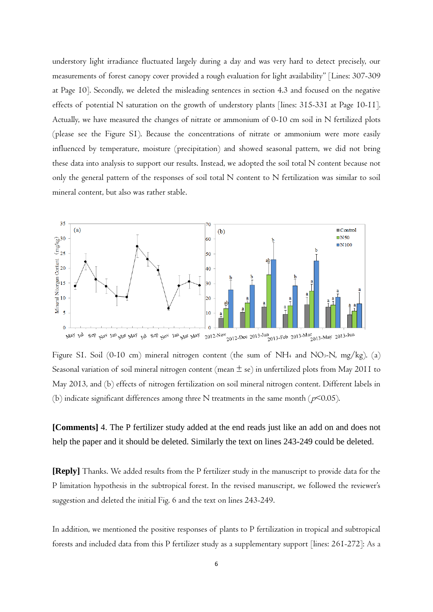understory light irradiance fluctuated largely during a day and was very hard to detect precisely, our measurements of forest canopy cover provided a rough evaluation for light availability" [Lines: 307-309 at Page 10]. Secondly, we deleted the misleading sentences in section 4.3 and focused on the negative effects of potential N saturation on the growth of understory plants [lines: 315-331 at Page 10-11]. Actually, we have measured the changes of nitrate or ammonium of 0-10 cm soil in N fertilized plots (please see the Figure S1). Because the concentrations of nitrate or ammonium were more easily influenced by temperature, moisture (precipitation) and showed seasonal pattern, we did not bring these data into analysis to support our results. Instead, we adopted the soil total N content because not only the general pattern of the responses of soil total N content to N fertilization was similar to soil mineral content, but also was rather stable.



Figure SI. Soil (0-10 cm) mineral nitrogen content (the sum of NH<sub>4</sub> and NO<sub>3</sub>-N, mg/kg). (a) Seasonal variation of soil mineral nitrogen content (mean  $\pm$  se) in unfertilized plots from May 2011 to May 2013, and (b) effects of nitrogen fertilization on soil mineral nitrogen content. Different labels in (b) indicate significant differences among three N treatments in the same month ( $p$ <0.05).

**[Comments]** 4. The P fertilizer study added at the end reads just like an add on and does not help the paper and it should be deleted. Similarly the text on lines 243-249 could be deleted.

**[Reply]** Thanks. We added results from the P fertilizer study in the manuscript to provide data for the P limitation hypothesis in the subtropical forest. In the revised manuscript, we followed the reviewer's suggestion and deleted the initial Fig. 6 and the text on lines 243-249.

In addition, we mentioned the positive responses of plants to P fertilization in tropical and subtropical forests and included data from this P fertilizer study as a supplementary support [lines: 261-272]: As a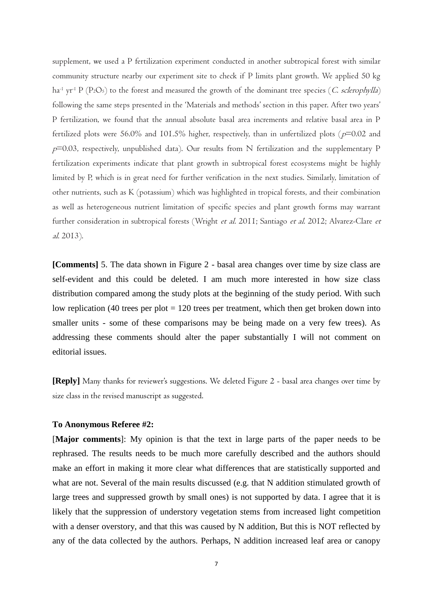supplement, we used a P fertilization experiment conducted in another subtropical forest with similar community structure nearby our experiment site to check if P limits plant growth. We applied 50 kg ha<sup>-1</sup> yr<sup>-1</sup> P (P<sub>2</sub>O<sub>5</sub>) to the forest and measured the growth of the dominant tree species (C. sclerophylla) following the same steps presented in the 'Materials and methods' section in this paper. After two years' P fertilization, we found that the annual absolute basal area increments and relative basal area in P fertilized plots were 56.0% and 101.5% higher, respectively, than in unfertilized plots ( $p=0.02$  and  $p=0.03$ , respectively, unpublished data). Our results from N fertilization and the supplementary P fertilization experiments indicate that plant growth in subtropical forest ecosystems might be highly limited by P, which is in great need for further verification in the next studies. Similarly, limitation of other nutrients, such as K (potassium) which was highlighted in tropical forests, and their combination as well as heterogeneous nutrient limitation of specific species and plant growth forms may warrant further consideration in subtropical forests (Wright et al. 2011; Santiago et al. 2012; Alvarez-Clare et al. 2013).

**[Comments]** 5. The data shown in Figure 2 - basal area changes over time by size class are self-evident and this could be deleted. I am much more interested in how size class distribution compared among the study plots at the beginning of the study period. With such low replication (40 trees per plot  $= 120$  trees per treatment, which then get broken down into smaller units - some of these comparisons may be being made on a very few trees). As addressing these comments should alter the paper substantially I will not comment on editorial issues.

**[Reply]** Many thanks for reviewer's suggestions. We deleted Figure 2 - basal area changes over time by size class in the revised manuscript as suggested.

#### **To Anonymous Referee #2:**

[**Major comments**]: My opinion is that the text in large parts of the paper needs to be rephrased. The results needs to be much more carefully described and the authors should make an effort in making it more clear what differences that are statistically supported and what are not. Several of the main results discussed (e.g. that N addition stimulated growth of large trees and suppressed growth by small ones) is not supported by data. I agree that it is likely that the suppression of understory vegetation stems from increased light competition with a denser overstory, and that this was caused by N addition, But this is NOT reflected by any of the data collected by the authors. Perhaps, N addition increased leaf area or canopy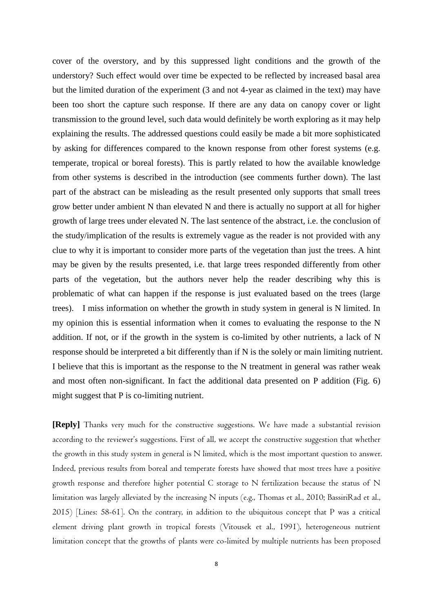cover of the overstory, and by this suppressed light conditions and the growth of the understory? Such effect would over time be expected to be reflected by increased basal area but the limited duration of the experiment (3 and not 4-year as claimed in the text) may have been too short the capture such response. If there are any data on canopy cover or light transmission to the ground level, such data would definitely be worth exploring as it may help explaining the results. The addressed questions could easily be made a bit more sophisticated by asking for differences compared to the known response from other forest systems (e.g. temperate, tropical or boreal forests). This is partly related to how the available knowledge from other systems is described in the introduction (see comments further down). The last part of the abstract can be misleading as the result presented only supports that small trees grow better under ambient N than elevated N and there is actually no support at all for higher growth of large trees under elevated N. The last sentence of the abstract, i.e. the conclusion of the study/implication of the results is extremely vague as the reader is not provided with any clue to why it is important to consider more parts of the vegetation than just the trees. A hint may be given by the results presented, i.e. that large trees responded differently from other parts of the vegetation, but the authors never help the reader describing why this is problematic of what can happen if the response is just evaluated based on the trees (large trees). I miss information on whether the growth in study system in general is N limited. In my opinion this is essential information when it comes to evaluating the response to the N addition. If not, or if the growth in the system is co-limited by other nutrients, a lack of N response should be interpreted a bit differently than if N is the solely or main limiting nutrient. I believe that this is important as the response to the N treatment in general was rather weak and most often non-significant. In fact the additional data presented on P addition (Fig. 6) might suggest that P is co-limiting nutrient.

**[Reply]** Thanks very much for the constructive suggestions. We have made a substantial revision according to the reviewer's suggestions. First of all, we accept the constructive suggestion that whether the growth in this study system in general is N limited, which is the most important question to answer. Indeed, previous results from boreal and temperate forests have showed that most trees have a positive growth response and therefore higher potential C storage to N fertilization because the status of N limitation was largely alleviated by the increasing N inputs (e.g., Thomas et al., 2010; BassiriRad et al., 2015) [Lines: 58-61]. On the contrary, in addition to the ubiquitous concept that P was a critical element driving plant growth in tropical forests (Vitousek et al., 1991), heterogeneous nutrient limitation concept that the growths of plants were co-limited by multiple nutrients has been proposed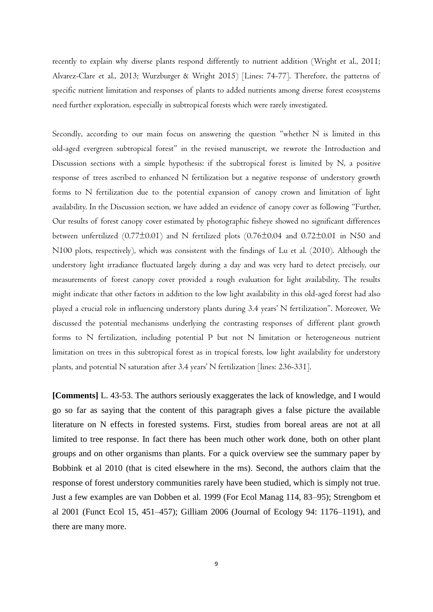recently to explain why diverse plants respond differently to nutrient addition (Wright et al., 2011; Alvarez-Clare et al., 2013; Wurzburger & Wright 2015) [Lines: 74-77]. Therefore, the patterns of specific nutrient limitation and responses of plants to added nutrients among diverse forest ecosystems need further exploration, especially in subtropical forests which were rarely investigated.

Secondly, according to our main focus on answering the question "whether N is limited in this old-aged evergreen subtropical forest" in the revised manuscript, we rewrote the Introduction and Discussion sections with a simple hypothesis: if the subtropical forest is limited by N, a positive response of trees ascribed to enhanced N fertilization but a negative response of understory growth forms to N fertilization due to the potential expansion of canopy crown and limitation of light availability. In the Discussion section, we have added an evidence of canopy cover as following "Further, Our results of forest canopy cover estimated by photographic fisheye showed no significant differences between unfertilized (0.77±0.01) and N fertilized plots (0.76±0.04 and 0.72±0.01 in N50 and N100 plots, respectively), which was consistent with the findings of Lu et al. (2010). Although the understory light irradiance fluctuated largely during a day and was very hard to detect precisely, our measurements of forest canopy cover provided a rough evaluation for light availability. The results might indicate that other factors in addition to the low light availability in this old-aged forest had also played a crucial role in influencing understory plants during 3.4 years' N fertilization". Moreover, We discussed the potential mechanisms underlying the contrasting responses of different plant growth forms to N fertilization, including potential P but not N limitation or heterogeneous nutrient limitation on trees in this subtropical forest as in tropical forests, low light availability for understory plants, and potential N saturation after 3.4 years' N fertilization [lines: 236-331].

**[Comments]** L. 43-53. The authors seriously exaggerates the lack of knowledge, and I would go so far as saying that the content of this paragraph gives a false picture the available literature on N effects in forested systems. First, studies from boreal areas are not at all limited to tree response. In fact there has been much other work done, both on other plant groups and on other organisms than plants. For a quick overview see the summary paper by Bobbink et al 2010 (that is cited elsewhere in the ms). Second, the authors claim that the response of forest understory communities rarely have been studied, which is simply not true. Just a few examples are van Dobben et al. 1999 (For Ecol Manag 114, 83–95); Strengbom et al 2001 (Funct Ecol 15, 451–457); Gilliam 2006 (Journal of Ecology 94: 1176–1191), and there are many more.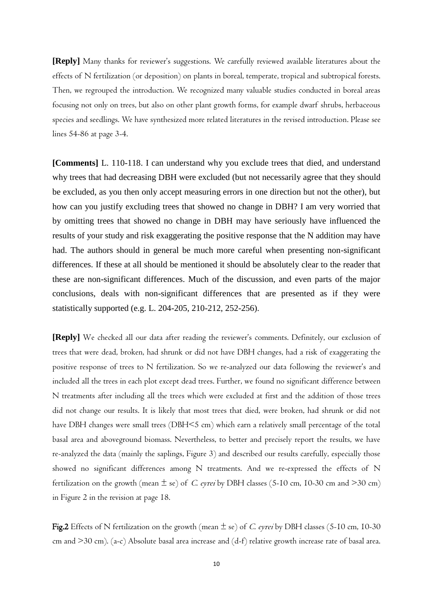**[Reply]** Many thanks for reviewer's suggestions. We carefully reviewed available literatures about the effects of N fertilization (or deposition) on plants in boreal, temperate, tropical and subtropical forests. Then, we regrouped the introduction. We recognized many valuable studies conducted in boreal areas focusing not only on trees, but also on other plant growth forms, for example dwarf shrubs, herbaceous species and seedlings. We have synthesized more related literatures in the revised introduction. Please see lines 54-86 at page 3-4.

**[Comments]** L. 110-118. I can understand why you exclude trees that died, and understand why trees that had decreasing DBH were excluded (but not necessarily agree that they should be excluded, as you then only accept measuring errors in one direction but not the other), but how can you justify excluding trees that showed no change in DBH? I am very worried that by omitting trees that showed no change in DBH may have seriously have influenced the results of your study and risk exaggerating the positive response that the N addition may have had. The authors should in general be much more careful when presenting non-significant differences. If these at all should be mentioned it should be absolutely clear to the reader that these are non-significant differences. Much of the discussion, and even parts of the major conclusions, deals with non-significant differences that are presented as if they were statistically supported (e.g. L. 204-205, 210-212, 252-256).

**[Reply]** We checked all our data after reading the reviewer's comments. Definitely, our exclusion of trees that were dead, broken, had shrunk or did not have DBH changes, had a risk of exaggerating the positive response of trees to N fertilization. So we re-analyzed our data following the reviewer's and included all the trees in each plot except dead trees. Further, we found no significant difference between N treatments after including all the trees which were excluded at first and the addition of those trees did not change our results. It is likely that most trees that died, were broken, had shrunk or did not have DBH changes were small trees (DBH<5 cm) which earn a relatively small percentage of the total basal area and aboveground biomass. Nevertheless, to better and precisely report the results, we have re-analyzed the data (mainly the saplings, Figure 3) and described our results carefully, especially those showed no significant differences among N treatments. And we re-expressed the effects of N fertilization on the growth (mean  $\pm$  se) of *C. eyrei* by DBH classes (5-10 cm, 10-30 cm and >30 cm) in Figure 2 in the revision at page 18.

Fig.2 Effects of N fertilization on the growth (mean  $\pm$  se) of *C. eyrei* by DBH classes (5-10 cm, 10-30 cm and >30 cm). (a-c) Absolute basal area increase and (d-f) relative growth increase rate of basal area.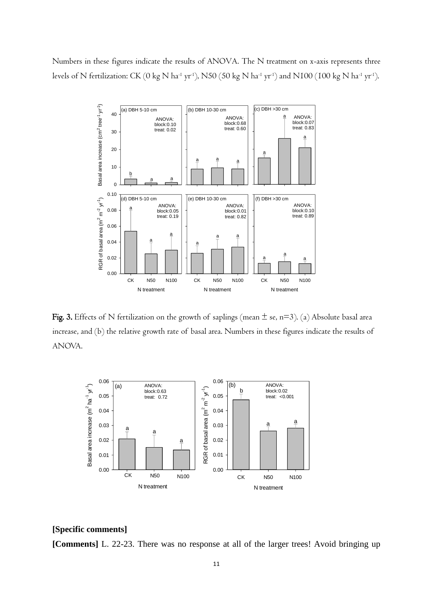Numbers in these figures indicate the results of ANOVA. The N treatment on x-axis represents three levels of N fertilization: CK (0 kg N ha $^{\text{-1}}$  yr $^{\text{-1}}$ ), N50 (50 kg N ha $^{\text{-1}}$  yr $^{\text{-1}}$ ) and N100 (100 kg N ha $^{\text{-1}}$  yr $^{\text{-1}}$ ).



Fig. 3. Effects of N fertilization on the growth of saplings (mean  $\pm$  se, n=3). (a) Absolute basal area increase, and (b) the relative growth rate of basal area. Numbers in these figures indicate the results of ANOVA.



### **[Specific comments]**

**[Comments]** L. 22-23. There was no response at all of the larger trees! Avoid bringing up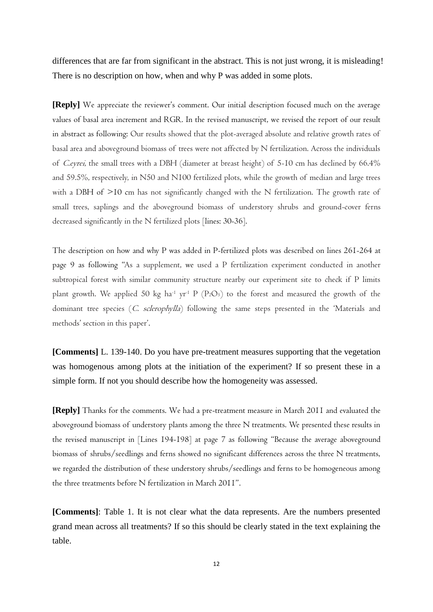differences that are far from significant in the abstract. This is not just wrong, it is misleading! There is no description on how, when and why P was added in some plots.

**[Reply]** We appreciate the reviewer's comment. Our initial description focused much on the average values of basal area increment and RGR. In the revised manuscript, we revised the report of our result in abstract as following: Our results showed that the plot-averaged absolute and relative growth rates of basal area and aboveground biomass of trees were not affected by N fertilization. Across the individuals of C.eyrei, the small trees with a DBH (diameter at breast height) of 5-10 cm has declined by 66.4% and 59.5%, respectively, in N50 and N100 fertilized plots, while the growth of median and large trees with a DBH of  $>10$  cm has not significantly changed with the N fertilization. The growth rate of small trees, saplings and the aboveground biomass of understory shrubs and ground-cover ferns decreased significantly in the N fertilized plots [lines: 30-36].

The description on how and why P was added in P-fertilized plots was described on lines 261-264 at page 9 as following "As a supplement, we used a P fertilization experiment conducted in another subtropical forest with similar community structure nearby our experiment site to check if P limits plant growth. We applied 50 kg ha<sup>-1</sup> yr<sup>-1</sup> P (P<sub>2</sub>O<sub>5</sub>) to the forest and measured the growth of the dominant tree species (C. sclerophylla) following the same steps presented in the 'Materials and methods' section in this paper'.

**[Comments]** L. 139-140. Do you have pre-treatment measures supporting that the vegetation was homogenous among plots at the initiation of the experiment? If so present these in a simple form. If not you should describe how the homogeneity was assessed.

**[Reply]** Thanks for the comments. We had a pre-treatment measure in March 2011 and evaluated the aboveground biomass of understory plants among the three N treatments. We presented these results in the revised manuscript in [Lines 194-198] at page 7 as following "Because the average aboveground biomass of shrubs/seedlings and ferns showed no significant differences across the three N treatments, we regarded the distribution of these understory shrubs/seedlings and ferns to be homogeneous among the three treatments before N fertilization in March 2011".

**[Comments]**: Table 1. It is not clear what the data represents. Are the numbers presented grand mean across all treatments? If so this should be clearly stated in the text explaining the table.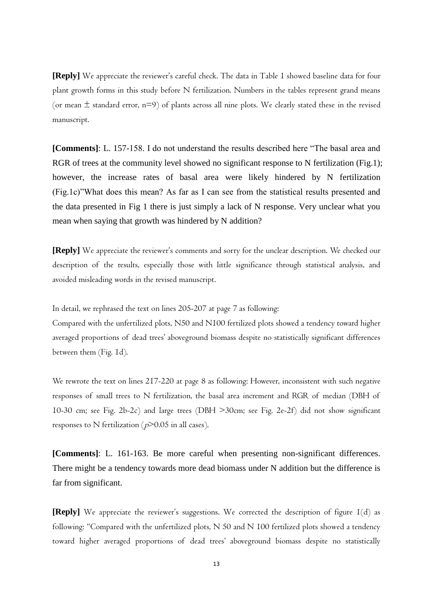**[Reply]** We appreciate the reviewer's careful check. The data in Table 1 showed baseline data for four plant growth forms in this study before N fertilization. Numbers in the tables represent grand means (or mean  $\pm$  standard error, n=9) of plants across all nine plots. We clearly stated these in the revised manuscript.

**[Comments]**: L. 157-158. I do not understand the results described here "The basal area and RGR of trees at the community level showed no significant response to N fertilization (Fig.1); however, the increase rates of basal area were likely hindered by N fertilization (Fig.1c)"What does this mean? As far as I can see from the statistical results presented and the data presented in Fig 1 there is just simply a lack of N response. Very unclear what you mean when saying that growth was hindered by N addition?

**[Reply]** We appreciate the reviewer's comments and sorry for the unclear description. We checked our description of the results, especially those with little significance through statistical analysis, and avoided misleading words in the revised manuscript.

In detail, we rephrased the text on lines 205-207 at page 7 as following:

Compared with the unfertilized plots, N50 and N100 fertilized plots showed a tendency toward higher averaged proportions of dead trees' aboveground biomass despite no statistically significant differences between them (Fig. 1d).

We rewrote the text on lines 217-220 at page 8 as following: However, inconsistent with such negative responses of small trees to N fertilization, the basal area increment and RGR of median (DBH of 10-30 cm; see Fig. 2b-2c) and large trees (DBH >30cm; see Fig. 2e-2f) did not show significant responses to N fertilization ( $p$ >0.05 in all cases).

**[Comments]**: L. 161-163. Be more careful when presenting non-significant differences. There might be a tendency towards more dead biomass under N addition but the difference is far from significant.

**[Reply]** We appreciate the reviewer's suggestions. We corrected the description of figure 1(d) as following: "Compared with the unfertilized plots, N 50 and N 100 fertilized plots showed a tendency toward higher averaged proportions of dead trees' aboveground biomass despite no statistically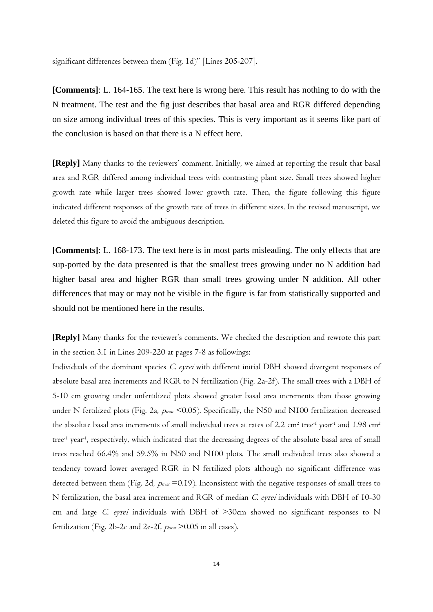significant differences between them (Fig. 1d)" [Lines 205-207].

**[Comments]**: L. 164-165. The text here is wrong here. This result has nothing to do with the N treatment. The test and the fig just describes that basal area and RGR differed depending on size among individual trees of this species. This is very important as it seems like part of the conclusion is based on that there is a N effect here.

**[Reply]** Many thanks to the reviewers' comment. Initially, we aimed at reporting the result that basal area and RGR differed among individual trees with contrasting plant size. Small trees showed higher growth rate while larger trees showed lower growth rate. Then, the figure following this figure indicated different responses of the growth rate of trees in different sizes. In the revised manuscript, we deleted this figure to avoid the ambiguous description.

**[Comments]**: L. 168-173. The text here is in most parts misleading. The only effects that are sup-ported by the data presented is that the smallest trees growing under no N addition had higher basal area and higher RGR than small trees growing under N addition. All other differences that may or may not be visible in the figure is far from statistically supported and should not be mentioned here in the results.

**[Reply]** Many thanks for the reviewer's comments. We checked the description and rewrote this part in the section 3.1 in Lines 209-220 at pages 7-8 as followings:

Individuals of the dominant species C. eyrei with different initial DBH showed divergent responses of absolute basal area increments and RGR to N fertilization (Fig. 2a-2f). The small trees with a DBH of 5-10 cm growing under unfertilized plots showed greater basal area increments than those growing under N fertilized plots (Fig. 2a,  $p_{max}$  <0.05). Specifically, the N50 and N100 fertilization decreased the absolute basal area increments of small individual trees at rates of 2.2  $cm<sup>2</sup>$  tree<sup>-1</sup> year<sup>-1</sup> and 1.98  $cm<sup>2</sup>$ tree-1 year-1 , respectively, which indicated that the decreasing degrees of the absolute basal area of small trees reached 66.4% and 59.5% in N50 and N100 plots. The small individual trees also showed a tendency toward lower averaged RGR in N fertilized plots although no significant difference was detected between them (Fig. 2d,  $p_{\text{tree}}$  =0.19). Inconsistent with the negative responses of small trees to N fertilization, the basal area increment and RGR of median C. eyrei individuals with DBH of 10-30 cm and large C. eyrei individuals with DBH of  $>$ 30cm showed no significant responses to N fertilization (Fig. 2b-2c and 2e-2f,  $p_{\text{treat}}$  >0.05 in all cases).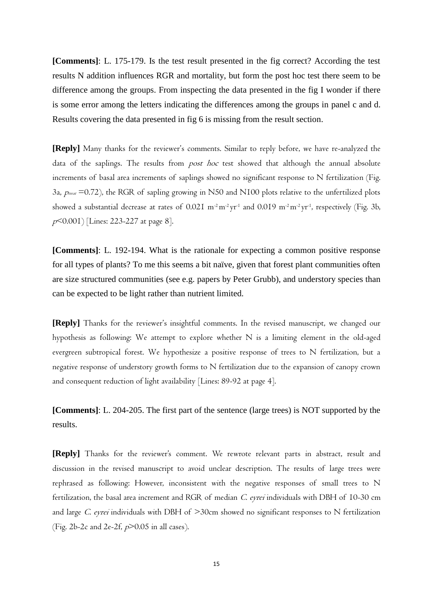**[Comments]**: L. 175-179. Is the test result presented in the fig correct? According the test results N addition influences RGR and mortality, but form the post hoc test there seem to be difference among the groups. From inspecting the data presented in the fig I wonder if there is some error among the letters indicating the differences among the groups in panel c and d. Results covering the data presented in fig 6 is missing from the result section.

**[Reply]** Many thanks for the reviewer's comments. Similar to reply before, we have re-analyzed the data of the saplings. The results from *post hoc* test showed that although the annual absolute increments of basal area increments of saplings showed no significant response to N fertilization (Fig. 3a,  $p_{\text{tree}}$  =0.72), the RGR of sapling growing in N50 and N100 plots relative to the unfertilized plots showed a substantial decrease at rates of 0.021  $\mathrm{m^{2}m^{2}yr^{1}}$  and 0.019  $\mathrm{m^{2}m^{2}yr^{1}}$ , respectively (Fig. 3b, <sup>p</sup><0.001) [Lines: 223-227 at page 8].

**[Comments]**: L. 192-194. What is the rationale for expecting a common positive response for all types of plants? To me this seems a bit na we, given that forest plant communities often are size structured communities (see e.g. papers by Peter Grubb), and understory species than can be expected to be light rather than nutrient limited.

**[Reply]** Thanks for the reviewer's insightful comments. In the revised manuscript, we changed our hypothesis as following: We attempt to explore whether N is a limiting element in the old-aged evergreen subtropical forest. We hypothesize a positive response of trees to N fertilization, but a negative response of understory growth forms to N fertilization due to the expansion of canopy crown and consequent reduction of light availability [Lines: 89-92 at page 4].

**[Comments]**: L. 204-205. The first part of the sentence (large trees) is NOT supported by the results.

**[Reply]** Thanks for the reviewer's comment. We rewrote relevant parts in abstract, result and discussion in the revised manuscript to avoid unclear description. The results of large trees were rephrased as following: However, inconsistent with the negative responses of small trees to N fertilization, the basal area increment and RGR of median C. eyrei individuals with DBH of 10-30 cm and large C. eyrei individuals with DBH of >30cm showed no significant responses to N fertilization (Fig. 2b-2c and 2e-2f,  $p$ >0.05 in all cases).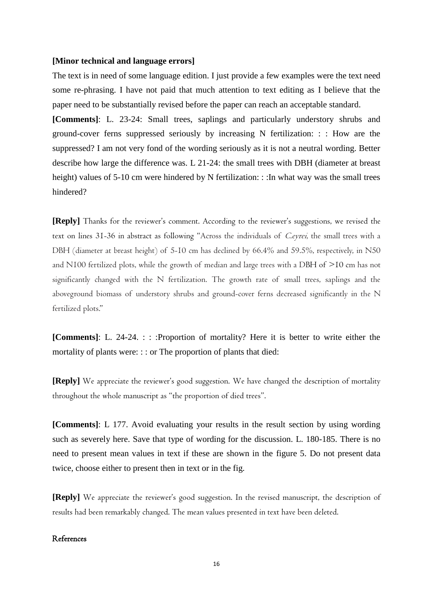#### **[Minor technical and language errors]**

The text is in need of some language edition. I just provide a few examples were the text need some re-phrasing. I have not paid that much attention to text editing as I believe that the paper need to be substantially revised before the paper can reach an acceptable standard.

**[Comments]**: L. 23-24: Small trees, saplings and particularly understory shrubs and ground-cover ferns suppressed seriously by increasing N fertilization: : : How are the suppressed? I am not very fond of the wording seriously as it is not a neutral wording. Better describe how large the difference was. L 21-24: the small trees with DBH (diameter at breast height) values of 5-10 cm were hindered by N fertilization: :: In what way was the small trees hindered?

**[Reply]** Thanks for the reviewer's comment. According to the reviewer's suggestions, we revised the text on lines 31-36 in abstract as following "Across the individuals of Ceyrei, the small trees with a DBH (diameter at breast height) of 5-10 cm has declined by 66.4% and 59.5%, respectively, in N50 and N100 fertilized plots, while the growth of median and large trees with a DBH of >10 cm has not significantly changed with the N fertilization. The growth rate of small trees, saplings and the aboveground biomass of understory shrubs and ground-cover ferns decreased significantly in the N fertilized plots."

**[Comments]:** L. 24-24. : : : : Proportion of mortality? Here it is better to write either the mortality of plants were: :: or The proportion of plants that died:

**[Reply]** We appreciate the reviewer's good suggestion. We have changed the description of mortality throughout the whole manuscript as "the proportion of died trees".

**[Comments]**: L 177. Avoid evaluating your results in the result section by using wording such as severely here. Save that type of wording for the discussion. L. 180-185. There is no need to present mean values in text if these are shown in the figure 5. Do not present data twice, choose either to present then in text or in the fig.

**[Reply]** We appreciate the reviewer's good suggestion. In the revised manuscript, the description of results had been remarkably changed. The mean values presented in text have been deleted.

### References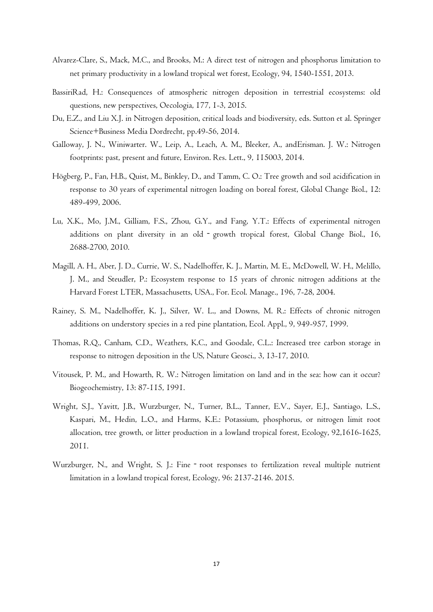- Alvarez-Clare, S., Mack, M.C., and Brooks, M.: A direct test of nitrogen and phosphorus limitation to net primary productivity in a lowland tropical wet forest, Ecology, 94, 1540-1551, 2013.
- BassiriRad, H.: Consequences of atmospheric nitrogen deposition in terrestrial ecosystems: old questions, new perspectives, Oecologia, 177, 1-3, 2015.
- Du, E.Z., and Liu X.J. in Nitrogen deposition, critical loads and biodiversity, eds. Sutton et al. Springer Science+Business Media Dordrecht, pp.49-56, 2014.
- Galloway, J. N., Winiwarter. W., Leip, A., Leach, A. M., Bleeker, A., andErisman. J. W.: Nitrogen footprints: past, present and future, Environ. Res. Lett., 9, 115003, 2014.
- Högberg, P., Fan, H.B., Quist, M., Binkley, D., and Tamm, C. O.: Tree growth and soil acidification in response to 30 years of experimental nitrogen loading on boreal forest, Global Change Biol., 12: 489-499, 2006.
- Lu, X.K., Mo, J.M., Gilliam, F.S., Zhou, G.Y., and Fang, Y.T.: Effects of experimental nitrogen additions on plant diversity in an old - growth tropical forest, Global Change Biol., 16, 2688-2700, 2010.
- Magill, A. H., Aber, J. D., Currie, W. S., Nadelhoffer, K. J., Martin, M. E., McDowell, W. H., Melillo, J. M., and Steudler, P.: Ecosystem response to 15 years of chronic nitrogen additions at the Harvard Forest LTER, Massachusetts, USA., For. Ecol. Manage., 196, 7-28, 2004.
- Rainey, S. M., Nadelhoffer, K. J., Silver, W. L., and Downs, M. R.: Effects of chronic nitrogen additions on understory species in a red pine plantation, Ecol. Appl., 9, 949-957, 1999.
- Thomas, R.Q., Canham, C.D., Weathers, K.C., and Goodale, C.L.: Increased tree carbon storage in response to nitrogen deposition in the US, Nature Geosci., 3, 13-17, 2010.
- Vitousek, P. M., and Howarth, R. W.: Nitrogen limitation on land and in the sea: how can it occur? Biogeochemistry, 13: 87-115, 1991.
- Wright, S.J., Yavitt, J.B., Wurzburger, N., Turner, B.L., Tanner, E.V., Sayer, E.J., Santiago, L.S., Kaspari, M., Hedin, L.O., and Harms, K.E.: Potassium, phosphorus, or nitrogen limit root allocation, tree growth, or litter production in a lowland tropical forest, Ecology, 92,1616-1625, 2011.
- Wurzburger, N., and Wright, S. J.: Fine root responses to fertilization reveal multiple nutrient limitation in a lowland tropical forest, Ecology, 96: 2137-2146. 2015.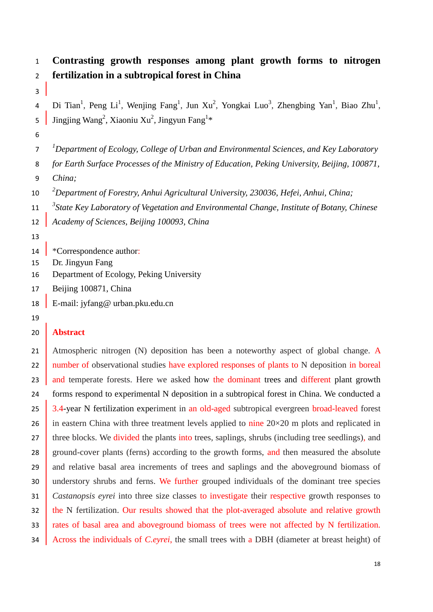# **Contrasting growth responses among plant growth forms to nitrogen fertilization in a subtropical forest in China**

4 Di Tian<sup>1</sup>, Peng Li<sup>1</sup>, Wenjing Fang<sup>1</sup>, Jun Xu<sup>2</sup>, Yongkai Luo<sup>3</sup>, Zhengbing Yan<sup>1</sup>, Biao Zhu<sup>1</sup>, 5 Jingjing Wang<sup>2</sup>, Xiaoniu Xu<sup>2</sup>, Jingyun Fang<sup>1\*</sup>

*1 Department of Ecology, College of Urban and Environmental Sciences, and Key Laboratory* 

- *for Earth Surface Processes of the Ministry of Education, Peking University, Beijing, 100871,*
- *China;*
- *2 Department of Forestry, Anhui Agricultural University, 230036, Hefei, Anhui, China;*
- *3 State Key Laboratory of Vegetation and Environmental Change, Institute of Botany, Chinese*
- *Academy of Sciences, Beijing 100093, China*
- 
- **\*Correspondence author:**
- Dr. Jingyun Fang
- Department of Ecology, Peking University
- Beijing 100871, China
- E-mail: [jyfang@ urban.pku.edu.cn](mailto:jyfang@urban.pku.edu.cn)
- 

# **Abstract**

21 Atmospheric nitrogen (N) deposition has been a noteworthy aspect of global change. A 22 number of observational studies have explored responses of plants to N deposition in boreal 23 and temperate forests. Here we asked how the dominant trees and different plant growth forms respond to experimental N deposition in a subtropical forest in China. We conducted a 25 3.4-year N fertilization experiment in an old-aged subtropical evergreen broad-leaved forest 26 in eastern China with three treatment levels applied to nine  $20\times20$  m plots and replicated in 27 three blocks. We divided the plants into trees, saplings, shrubs (including tree seedlings), and 28 ground-cover plants (ferns) according to the growth forms, and then measured the absolute 29 and relative basal area increments of trees and saplings and the aboveground biomass of 30 understory shrubs and ferns. We further grouped individuals of the dominant tree species *Castanopsis eyrei* into three size classes to investigate their respective growth responses to 32 the N fertilization. Our results showed that the plot-averaged absolute and relative growth rates of basal area and aboveground biomass of trees were not affected by N fertilization. Across the individuals of *C.eyrei*, the small trees with a DBH (diameter at breast height) of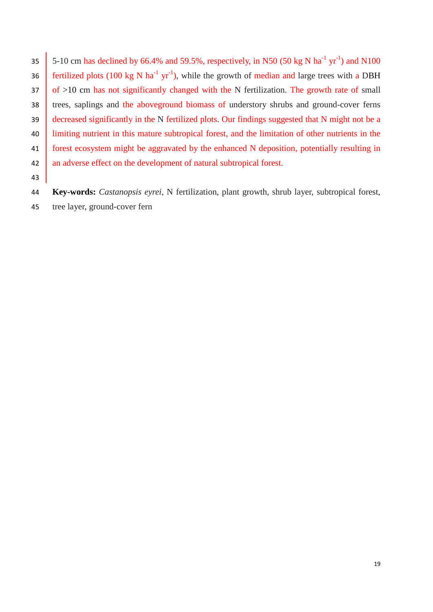35 5-10 cm has declined by 66.4% and 59.5%, respectively, in N50 (50 kg N ha<sup>-1</sup> yr<sup>-1</sup>) and N100 36 fertilized plots (100 kg N ha<sup>-1</sup> yr<sup>-1</sup>), while the growth of median and large trees with a DBH  $37 \mid$  of  $>10$  cm has not significantly changed with the N fertilization. The growth rate of small trees, saplings and the aboveground biomass of understory shrubs and ground-cover ferns decreased significantly in the N fertilized plots. Our findings suggested that N might not be a limiting nutrient in this mature subtropical forest, and the limitation of other nutrients in the forest ecosystem might be aggravated by the enhanced N deposition, potentially resulting in 42 an adverse effect on the development of natural subtropical forest.

 **Key-words:** *Castanopsis eyrei*, N fertilization, plant growth, shrub layer, subtropical forest, tree layer, ground-cover fern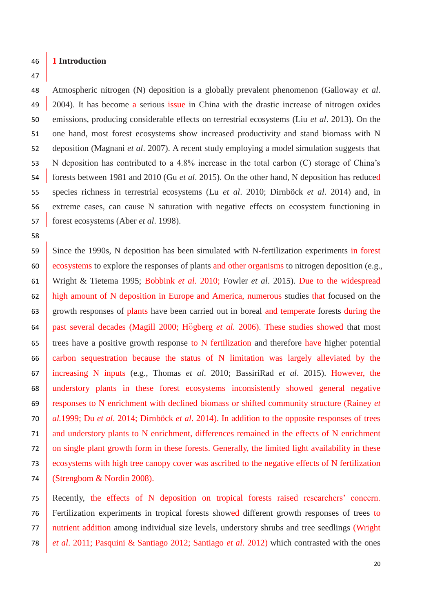#### **1 Introduction**

### 

 Atmospheric nitrogen (N) deposition is a globally prevalent phenomenon (Galloway *et al*. 49 2004). It has become a serious issue in China with the drastic increase of nitrogen oxides emissions, producing considerable effects on terrestrial ecosystems (Liu *et al*. 2013). On the one hand, most forest ecosystems show increased productivity and stand biomass with N deposition (Magnani *et al*. 2007). A recent study employing a model simulation suggests that N deposition has contributed to a 4.8% increase in the total carbon (C) storage of China's forests between 1981 and 2010 (Gu *et al*. 2015). On the other hand, N deposition has reduced species richness in terrestrial ecosystems (Lu *et al*. 2010; Dirnböck *et al*. 2014) and, in extreme cases, can cause N saturation with negative effects on ecosystem functioning in forest ecosystems (Aber *et al*. 1998).

 Since the 1990s, N deposition has been simulated with N-fertilization experiments in forest ecosystems to explore the responses of plants and other organisms to nitrogen deposition (e.g., Wright & Tietema 1995; Bobbink *et al.* 2010; Fowler *et al*. 2015). Due to the widespread high amount of N deposition in Europe and America, numerous studies that focused on the 63 growth responses of plants have been carried out in boreal and temperate forests during the past several decades (Magill 2000; Högberg *et al.* 2006). These studies showed that most trees have a positive growth response to N fertilization and therefore have higher potential carbon sequestration because the status of N limitation was largely alleviated by the increasing N inputs (e.g., Thomas *et al*. 2010; BassiriRad *et al*. 2015). However, the understory plants in these forest ecosystems inconsistently showed general negative responses to N enrichment with declined biomass or shifted community structure (Rainey *et al.*1999; Du *et al*. 2014; Dirnböck *et al*. 2014). In addition to the opposite responses of trees and understory plants to N enrichment, differences remained in the effects of N enrichment on single plant growth form in these forests. Generally, the limited light availability in these ecosystems with high tree canopy cover was ascribed to the negative effects of N fertilization (Strengbom & Nordin 2008).

 Recently, the effects of N deposition on tropical forests raised researchers' concern. Fertilization experiments in tropical forests showed different growth responses of trees to nutrient addition among individual size levels, understory shrubs and tree seedlings (Wright *et al*. 2011; Pasquini & Santiago 2012; Santiago *et al*. 2012) which contrasted with the ones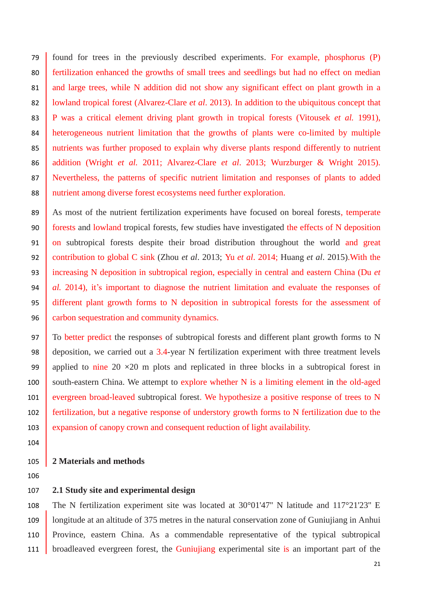found for trees in the previously described experiments. For example, phosphorus (P) 80 fertilization enhanced the growths of small trees and seedlings but had no effect on median 81 and large trees, while N addition did not show any significant effect on plant growth in a 82 volumed tropical forest (Alvarez-Clare *et al.* 2013). In addition to the ubiquitous concept that P was a critical element driving plant growth in tropical forests (Vitousek *et al.* 1991), heterogeneous nutrient limitation that the growths of plants were co-limited by multiple nutrients was further proposed to explain why diverse plants respond differently to nutrient addition (Wright *et al.* 2011; Alvarez-Clare *et al*. 2013; Wurzburger & Wright 2015). Nevertheless, the patterns of specific nutrient limitation and responses of plants to added 88 nutrient among diverse forest ecosystems need further exploration.

89 As most of the nutrient fertilization experiments have focused on boreal forests, temperate forests and lowland tropical forests, few studies have investigated the effects of N deposition 91 on subtropical forests despite their broad distribution throughout the world and great contribution to global C sink (Zhou *et al*. 2013; Yu *et al*. 2014; Huang *et al*. 2015).With the increasing N deposition in subtropical region, especially in central and eastern China (Du *et al.* 2014), it's important to diagnose the nutrient limitation and evaluate the responses of different plant growth forms to N deposition in subtropical forests for the assessment of 96 carbon sequestration and community dynamics.

97 To better predict the responses of subtropical forests and different plant growth forms to N deposition, we carried out a 3.4-year N fertilization experiment with three treatment levels 99 applied to nine 20  $\times$  20 m plots and replicated in three blocks in a subtropical forest in south-eastern China. We attempt to explore whether N is a limiting element in the old-aged 101 evergreen broad-leaved subtropical forest. We hypothesize a positive response of trees to N fertilization, but a negative response of understory growth forms to N fertilization due to the expansion of canopy crown and consequent reduction of light availability.

# **2 Materials and methods**

# **2.1 Study site and experimental design**

 The N fertilization experiment site was located at 30°01'47'' N latitude and 117°21'23'' E longitude at an altitude of 375 metres in the natural conservation zone of Guniujiang in Anhui Province, eastern China. As a commendable representative of the typical subtropical 111 broadleaved evergreen forest, the Guniujiang experimental site is an important part of the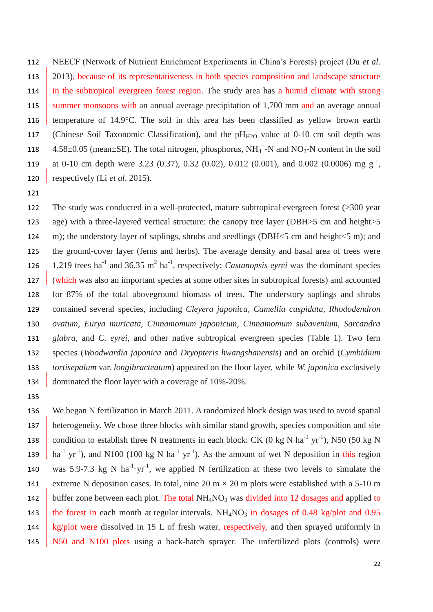112 NEECF (Network of Nutrient Enrichment Experiments in China's Forests) project (Du *et al*. 113 2013), because of its representativeness in both species composition and landscape structure 114 in the subtropical evergreen forest region. The study area has a humid climate with strong 115 summer monsoons with an annual average precipitation of 1,700 mm and an average annual 116 temperature of 14.9 °C. The soil in this area has been classified as yellow brown earth 117 (Chinese Soil Taxonomic Classification), and the  $pH_{H2O}$  value at 0-10 cm soil depth was 118  $4.58 \pm 0.05$  (mean  $\pm$ SE). The total nitrogen, phosphorus, NH<sub>4</sub><sup>+</sup>-N and NO<sub>3</sub>-N content in the soil 119 at 0-10 cm depth were 3.23 (0.37), 0.32 (0.02), 0.012 (0.001), and 0.002 (0.0006) mg  $g^{-1}$ , 120 respectively (Li *et al*. 2015).

121

 The study was conducted in a well-protected, mature subtropical evergreen forest (>300 year age) with a three-layered vertical structure: the canopy tree layer (DBH>5 cm and height>5 124 m); the understory layer of saplings, shrubs and seedlings (DBH $\le$ 5 cm and height $\le$ 5 m); and the ground-cover layer (ferns and herbs). The average density and basal area of trees were 126 1,219 trees ha<sup>-1</sup> and 36.35 m<sup>2</sup> ha<sup>-1</sup>, respectively; *Castanopsis eyrei* was the dominant species (which was also an important species at some other sites in subtropical forests) and accounted for 87% of the total aboveground biomass of trees. The understory saplings and shrubs contained several species, including *Cleyera japonica, Camellia cuspidata, Rhododendron ovatum, Eurya muricata, Cinnamomum japonicum, Cinnamomum subavenium, Sarcandra glabra,* and *C. eyrei*, and other native subtropical evergreen species (Table 1). Two fern species (*Woodwardia japonica* and *Dryopteris hwangshanensis*) and an orchid (*Cymbidium tortisepalum* var. *longibracteatum*) appeared on the floor layer, while *W. japonica* exclusively 134 dominated the floor layer with a coverage of 10%-20%.

135

136 We began N fertilization in March 2011. A randomized block design was used to avoid spatial 137 heterogeneity. We chose three blocks with similar stand growth, species composition and site 138 condition to establish three N treatments in each block: CK (0 kg N ha<sup>-1</sup> yr<sup>-1</sup>), N50 (50 kg N 139  $\int$  ha<sup>-1</sup> yr<sup>-1</sup>), and N100 (100 kg N ha<sup>-1</sup> yr<sup>-1</sup>). As the amount of wet N deposition in this region 140 was 5.9-7.3 kg N ha<sup>-1</sup> yr<sup>-1</sup>, we applied N fertilization at these two levels to simulate the 141 extreme N deposition cases. In total, nine 20 m  $\times$  20 m plots were established with a 5-10 m 142 buffer zone between each plot. The total  $NH<sub>4</sub>NO<sub>3</sub>$  was divided into 12 dosages and applied to 143 the forest in each month [at](javascript:void(0);) [regular](javascript:void(0);) [intervals.](javascript:void(0);)  $NH<sub>4</sub>NO<sub>3</sub>$  in dosages of 0.48 kg/plot and 0.95 144 kg/plot were dissolved in 15 L of fresh water, respectively, and then sprayed uniformly in 145 N50 and N100 plots using a back-hatch sprayer. The unfertilized plots (controls) were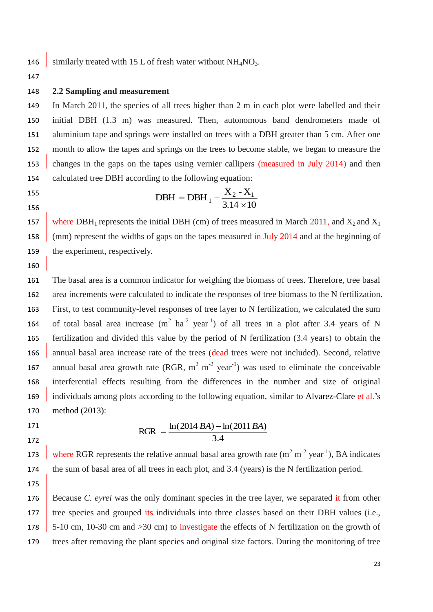146 similarly treated with 15 L of fresh water without  $NH<sub>4</sub>NO<sub>3</sub>$ .

147

#### 148 **2.2 Sampling and measurement**

 In March 2011, the species of all trees higher than 2 m in each plot were labelled and their initial DBH (1.3 m) was measured. Then, autonomous band dendrometers made of aluminium tape and springs were installed on trees with a DBH greater than 5 cm. After one month to allow the tapes and springs on the trees to become stable, we began to measure the 153 changes in the gaps on the tapes using vernier callipers (measured in July 2014) and then calculated tree DBH according to the following equation:

155 156

 $3.14 \times 10$  $DBH = DBH_1 + \frac{X_2 - X_1}{3.14 \times 10}$ 

157 where DBH<sub>1</sub> represents the initial DBH (cm) of trees measured in March 2011, and  $X_2$  and  $X_1$ 158 (mm) represent the widths of gaps on the tapes measured in July 2014 and at the beginning of 159 the experiment, respectively.

160

161 The basal area is a common indicator for weighing the biomass of trees. Therefore, tree basal 162 area increments were calculated to indicate the responses of tree biomass to the N fertilization. 163 First, to test community-level responses of tree layer to N fertilization, we calculated the sum 164 of total basal area increase  $(m^2 \text{ ha}^{-2} \text{ year}^{-1})$  of all trees in a plot after 3.4 years of N 165 fertilization and divided this value by the period of N fertilization (3.4 years) to obtain the 166 annual basal area increase rate of the trees (dead trees were not included). Second, relative 167 annual basal area growth rate (RGR,  $m^2 m^{-2}$  year<sup>-1</sup>) was used to eliminate the conceivable 168 interferential effects resulting from the differences in the number and size of original 169 individuals among plots according to the following equation, similar to Alvarez-Clare et al.'s 170 method (2013):

171 172

3.4  $RGR = \frac{\ln(2014 BA) - \ln(2011 BA)}{BAR}$ 

173 where RGR represents the relative annual basal area growth rate  $(m^2 m^2 year^{-1})$ , BA indicates 174 the sum of basal area of all trees in each plot, and 3.4 (years) is the N fertilization period. 175

176 Because *C. eyrei* was the only dominant species in the tree layer, we separated it from other 177 tree species and grouped its individuals into three classes based on their DBH values (i.e., 178 5-10 cm, 10-30 cm and >30 cm) to investigate the effects of N fertilization on the growth of 179 trees after removing the plant species and original size factors. During the monitoring of tree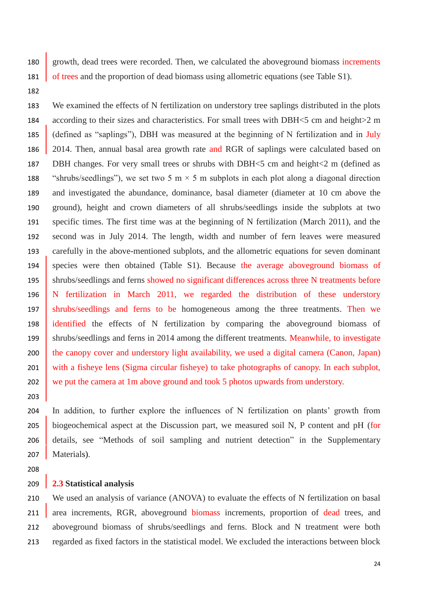growth, dead trees were recorded. Then, we calculated the aboveground biomass increments 181 of trees and the proportion of dead biomass using allometric equations (see Table S1).

 We examined the effects of N fertilization on understory tree saplings distributed in the plots according to their sizes and characteristics. For small trees with DBH<5 cm and height>2 m (defined as "saplings"), DBH was measured at the beginning of N fertilization and in July 2014. Then, annual basal area growth rate and RGR of saplings were calculated based on DBH changes. For very small trees or shrubs with DBH<5 cm and height<2 m (defined as 188 "shrubs/seedlings"), we set two 5 m  $\times$  5 m subplots in each plot along a diagonal direction and investigated the abundance, dominance, basal diameter (diameter at 10 cm above the ground), height and crown diameters of all shrubs/seedlings inside the subplots at two specific times. The first time was at the beginning of N fertilization (March 2011), and the second was in July 2014. The length, width and number of fern leaves were measured carefully in the above-mentioned subplots, and the allometric equations for seven dominant species were then obtained (Table S1). Because the average aboveground biomass of shrubs/seedlings and ferns showed no significant differences across three N treatments before N fertilization in March 2011, we regarded the distribution of these understory shrubs/seedlings and ferns to be homogeneous among the three treatments. Then we identified the effects of N fertilization by comparing the aboveground biomass of 199 shrubs/seedlings and ferns in 2014 among the different treatments. Meanwhile, to investigate 200 the canopy cover and understory light availability, we used a digital camera (Canon, Japan) 201 with a fisheye lens (Sigma circular fisheye) to take photographs of canopy. In each subplot, 202 we put the camera at 1m above ground and took 5 photos upwards from understory.

 In addition, to further explore the influences of N fertilization on plants' growth from biogeochemical aspect at the Discussion part, we measured soil N, P content and pH (for details, see "Methods of soil sampling and nutrient detection" in the Supplementary 207 | Materials).

# **2.3 Statistical analysis**

 We used an analysis of variance (ANOVA) to evaluate the effects of N fertilization on basal 211 area increments, RGR, aboveground biomass increments, proportion of dead trees, and aboveground biomass of shrubs/seedlings and ferns. Block and N treatment were both regarded as fixed factors in the statistical model. We excluded the interactions between block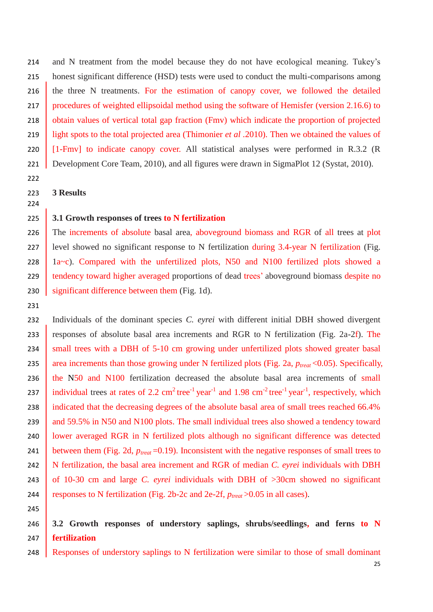214 and N treatment from the model because they do not have ecological meaning. Tukey's 215 honest significant difference (HSD) tests were used to conduct the multi-comparisons among 216 the three N treatments. For the estimation of canopy cover, we followed the detailed 217 procedures of weighted ellipsoidal method using the software of Hemisfer (version 2.16.6) to 218 obtain values of vertical total gap fraction (Fmv) which indicate the proportion of projected 219 light spots to the total projected area (Thimonier *et al .*2010). Then we obtained the values of 220 [1-Fmv] to indicate canopy cover. All statistical analyses were performed in R.3.2 (R) 221 Development Core Team, 2010), and all figures were drawn in SigmaPlot 12 (Systat, 2010).

222

224

231

245

223 **3 Results**

## 225 **3.1 Growth responses of trees to N fertilization**

226 The increments of absolute basal area, aboveground biomass and RGR of all trees at plot 227 level showed no significant response to N fertilization during 3.4-year N fertilization (Fig. 228  $\vert$  1a~c). Compared with the unfertilized plots, N50 and N100 fertilized plots showed a 229 tendency toward higher averaged proportions of dead trees' aboveground biomass despite no 230 significant difference between them (Fig. 1d).

232 Individuals of the dominant species *C. eyrei* with different initial DBH showed divergent 233 responses of absolute basal area increments and RGR to N fertilization (Fig. 2a-2f). The 234 small trees with a DBH of 5-10 cm growing under unfertilized plots showed greater basal 235 area increments than those growing under N fertilized plots (Fig. 2a,  $p_{\text{treat}}$  < 0.05). Specifically, 236 the N50 and N100 fertilization decreased the absolute basal area increments of small 237 individual trees at rates of 2.2  $\text{cm}^2 \text{ tree}^{-1} \text{ year}^{-1}$  and 1.98  $\text{cm}^{-2} \text{ tree}^{-1} \text{ year}^{-1}$ , respectively, which 238 indicated that the decreasing degrees of the absolute basal area of small trees reached 66.4% 239 and 59.5% in N50 and N100 plots. The small individual trees also showed a tendency toward 240 | lower averaged RGR in N fertilized plots although no significant difference was detected 241 between them (Fig. 2d,  $p_{\text{treat}} = 0.19$ ). Inconsistent with the negative responses of small trees to 242 N fertilization, the basal area increment and RGR of median *C. eyrei* individuals with DBH 243 of 10-30 cm and large *C. eyrei* individuals with DBH of >30cm showed no significant 244 responses to N fertilization (Fig. 2b-2c and 2e-2f, *ptreat* >0.05 in all cases).

# 246 **3.2 Growth responses of understory saplings, shrubs/seedlings, and ferns to N**  247 **fertilization**

248 Responses of understory saplings to N fertilization were similar to those of small dominant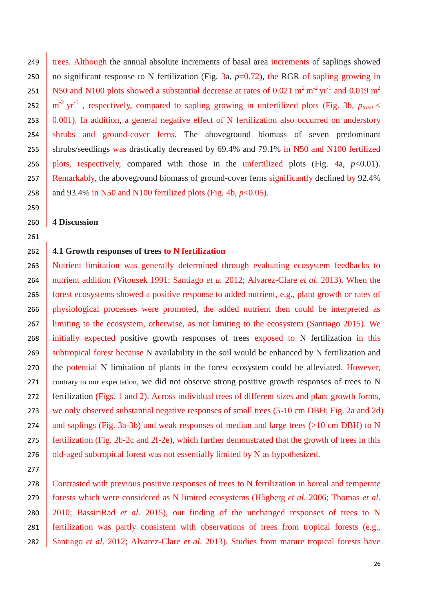249 trees*.* Although the annual absolute increments of basal area increments of saplings showed 250 no significant response to N fertilization (Fig. 3a,  $p=0.72$ ), the RGR of sapling growing in N50 and N100 plots showed a substantial decrease at rates of 0.021  $m^2 m^{-2}$  yr<sup>-1</sup> and 0.019  $m^2$ 252  $\left(m^{-2} \text{ yr}^{-1}\right)$ , respectively, compared to sapling growing in unfertilized plots (Fig. 3b,  $p_{\text{treat}}$ 253  $\vert$  0.001). In addition, a general negative effect of N fertilization also occurred on understory 254 shrubs and ground-cover ferns. The above ground biomass of seven predominant 255 shrubs/seedlings was drastically decreased by 69.4% and 79.1% in N50 and N100 fertilized 256 plots, respectively, compared with those in the unfertilized plots (Fig. 4a,  $p<0.01$ ). 257 Remarkably, the aboveground biomass of ground-cover ferns significantly declined by 92.4% 258  $\parallel$  and 93.4% in N50 and N100 fertilized plots (Fig. 4b,  $p<0.05$ ). 260 **4 Discussion**

# 262 **4.1 Growth responses of trees to N fertilization**

263 Nutrient limitation was generally determined through evaluating ecosystem feedbacks to 264 nutrient addition (Vitousek 1991; Santiago *et a.* 2012; Alvarez-Clare *et al*. 2013). When the 265 forest ecosystems showed a positive response to added nutrient, e.g., plant growth or rates of 266 physiological processes were promoted, the added nutrient then could be interpreted as 267 limiting to the ecosystem, otherwise, as not limiting to the ecosystem (Santiago 2015). We 268 initially expected positive growth responses of trees exposed to N fertilization in this 269 subtropical forest because N availability in the soil would be enhanced by N fertilization and 270 the potential N limitation of plants in the forest ecosystem could be alleviated. However, 271 contrary to our expectation, we did not observe strong positive growth responses of trees to N 272 fertilization (Figs. 1 and 2). Across individual trees of different sizes and plant growth forms, 273 we only observed substantial negative responses of small trees (5-10 cm DBH; Fig. 2a and 2d) 274 and saplings (Fig. 3a-3b) and weak responses of median and large trees ( $>10$  cm DBH) to N 275 fertilization (Fig. 2b-2c and 2f-2e), which further demonstrated that the growth of trees in this 276 old-aged subtropical forest was not essentially limited by N as hypothesized.

278 Contrasted with previous positive responses of trees to N fertilization in boreal and temperate forests which were considered as N limited ecosystems (Högberg *et al*. 2006; Thomas *et al*. 2010; BassiriRad *et al*. 2015), our finding of the unchanged responses of trees to N fertilization was partly consistent with observations of trees from tropical forests (e.g., Santiago *et al*. 2012; Alvarez-Clare *et al*. 2013). Studies from mature tropical forests have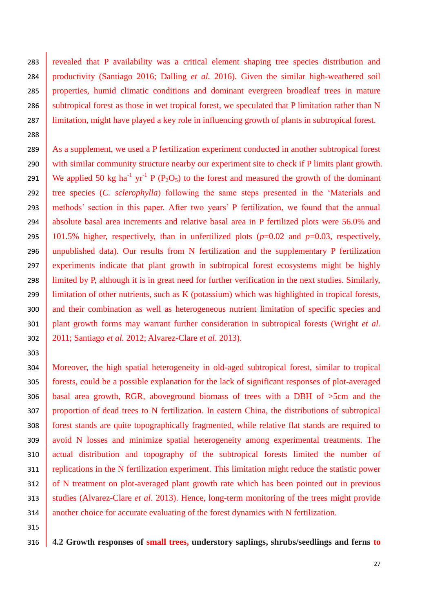283 revealed that P availability was a critical element shaping tree species distribution and productivity (Santiago 2016; Dalling *et al.* 2016). Given the similar high-weathered soil properties, humid climatic conditions and dominant evergreen broadleaf trees in mature 286 subtropical forest as those in wet tropical forest, we [speculated](javascript:void(0);) that P limitation rather than N limitation, might have played a key role in influencing growth of plants in subtropical forest.

289 As a supplement, we used a P fertilization experiment conducted in another subtropical forest 290 with similar community structure nearby our experiment site to check if P limits plant growth. 291 We applied 50 kg ha<sup>-1</sup> yr<sup>-1</sup> P (P<sub>2</sub>O<sub>5</sub>) to the forest and measured the growth of the dominant tree species (*C. sclerophylla*) following the same steps presented in the 'Materials and methods' section in this paper. After two years' P fertilization, we found that the annual absolute basal area increments and relative basal area in P fertilized plots were 56.0% and 101.5% higher, respectively, than in unfertilized plots (*p*=0.02 and *p*=0.03, respectively, unpublished data). Our results from N fertilization and the supplementary P fertilization experiments indicate that plant growth in subtropical forest ecosystems might be highly limited by P, although it is in great need for further verification in the next studies. Similarly, limitation of other nutrients, such as K (potassium) which was highlighted in tropical forests, 300 and their combination as well as heterogeneous nutrient limitation of specific species and plant growth forms may warrant further consideration in subtropical forests (Wright *et al.* 2011; Santiago *et al.* 2012; Alvarez-Clare *et al*. 2013).

 Moreover, the high spatial heterogeneity in old-aged subtropical forest, similar to tropical forests, could be a possible explanation for the lack of significant responses of plot-averaged basal area growth, RGR, aboveground biomass of trees with a DBH of >5cm and the proportion of dead trees to N fertilization. In eastern China, the distributions of subtropical forest stands are quite topographically fragmented, while relative flat stands are required to avoid N losses and minimize spatial heterogeneity among experimental treatments. The actual distribution and topography of the subtropical forests limited the number of 311 replications in the N fertilization experiment. This limitation might reduce the statistic power 312 of N treatment on plot-averaged plant growth rate which has been pointed out in previous studies (Alvarez-Clare *et al*. 2013). Hence, long-term monitoring of the trees might provide 314 another choice for accurate evaluating of the forest dynamics with N fertilization.

**4.2 Growth responses of small trees, understory saplings, shrubs/seedlings and ferns to**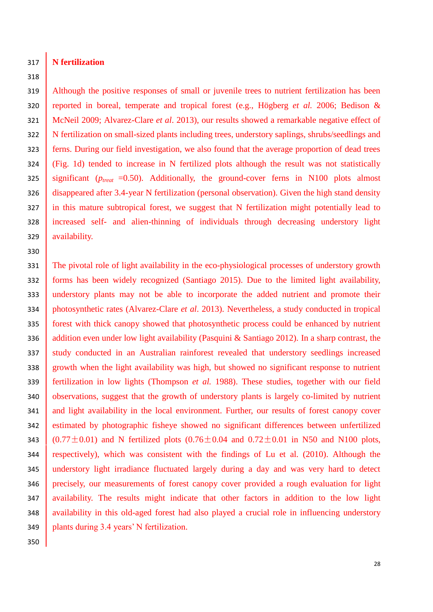# **N fertilization**

# 

 Although the positive responses of small or juvenile trees to nutrient fertilization has been reported in boreal, temperate and tropical forest (e.g., Högberg *et al.* 2006; Bedison & McNeil 2009; Alvarez-Clare *et al*. 2013), our results showed a remarkable negative effect of 322 N fertilization on small-sized plants including trees, understory saplings, shrubs/seedlings and ferns. During our field investigation, we also found that the average proportion of dead trees (Fig. 1d) tended to increase in N fertilized plots although the result was not statistically significant ( $p_{\text{treat}}$  =0.50). Additionally, the ground-cover ferns in N100 plots almost disappeared after 3.4-year N fertilization (personal observation). Given the high stand density 327 in this mature subtropical forest, we suggest that N fertilization might potentially lead to increased self- and alien-thinning of individuals through decreasing understory light availability.

331 The pivotal role of light availability in the eco-physiological processes of understory growth forms has been widely recognized (Santiago 2015). Due to the limited light availability, understory plants may not be able to incorporate the added nutrient and promote their photosynthetic rates (Alvarez-Clare *et al*. 2013). Nevertheless, a study conducted in tropical forest with thick canopy showed that photosynthetic process could be enhanced by nutrient 336 addition even under low light availability (Pasquini & Santiago 2012). In a sharp contrast, the 337 study conducted in an Australian rainforest revealed that understory seedlings increased growth when the light availability was high, but showed no significant response to nutrient fertilization in low lights (Thompson *et al.* 1988). These studies, together with our field 340 observations, suggest that the growth of understory plants is largely co-limited by nutrient 341 and light availability in the local environment. Further, our results of forest canopy cover estimated by photographic fisheye showed no significant differences between unfertilized 343 (0.77 $\pm$ 0.01) and N fertilized plots (0.76 $\pm$ 0.04 and 0.72 $\pm$ 0.01 in N50 and N100 plots, respectively), which was consistent with the findings of Lu et al. (2010). Although the understory light irradiance fluctuated largely during a day and was very hard to detect precisely, our measurements of forest canopy cover provided a rough evaluation for light availability. The results might indicate that other factors in addition to the low light 348 availability in this old-aged forest had also played a crucial role in influencing understory plants during 3.4 years' N fertilization.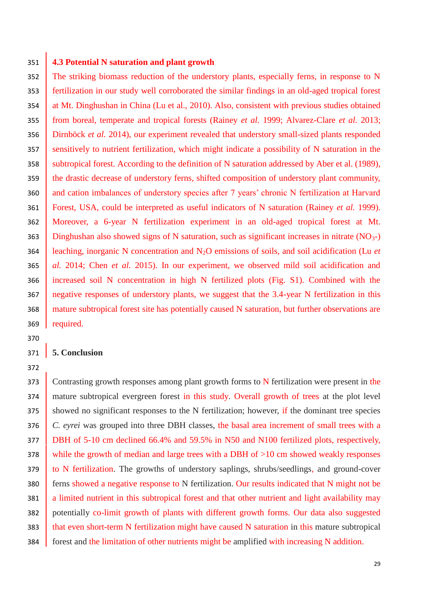## 351 **4.3 Potential N saturation and plant growth**

352 The striking biomass reduction of the understory plants, especially ferns, in response to N 353 fertilization in our study well corroborated the similar findings in an old-aged tropical forest 354 at Mt. Dinghushan in China (Lu et al., 2010). Also, consistent with previous studies obtained 355 from boreal, temperate and tropical forests (Rainey *et al.* 1999; Alvarez-Clare *et al.* 2013; 356 Dirnböck *et al.* 2014), our experiment revealed that understory small-sized plants responded 357 sensitively to nutrient fertilization, which might indicate a possibility of N saturation in the 358 subtropical forest. According to the definition of N saturation addressed by Aber et al. (1989), 359 the drastic decrease of understory ferns, shifted composition of understory plant community, 360 and cation imbalances of understory species after 7 years' chronic N fertilization at Harvard 361 Forest, USA, could be interpreted as useful indicators of N saturation (Rainey *et al.* 1999). 362 Moreover, a 6-year N fertilization experiment in an old-aged tropical forest at Mt. 363 | Dinghushan also showed signs of N saturation, such as significant increases in nitrate  $(NO<sub>3</sub>-)$ 364 leaching, inorganic N concentration and N2O emissions of soils, and soil acidification (Lu *et*  365 *al.* 2014; Chen *et al.* 2015). In our experiment, we observed mild soil acidification and 366 increased soil N concentration in high N fertilized plots (Fig. S1). Combined with the 367 negative responses of understory plants, we suggest that the 3.4-year N fertilization in this 368 mature subtropical forest site has potentially caused N saturation, but further observations are 369 required.

# 370

372

# 371 **5. Conclusion**

373 Contrasting growth responses among plant growth forms to N fertilization were present in the 374 mature subtropical evergreen forest in this study. Overall growth of trees at the plot level 375 showed no significant responses to the N fertilization; however, if the dominant tree species 376 *C. eyrei* was grouped into three DBH classes, the basal area increment of small trees with a 377 **DBH** of 5-10 cm declined 66.4% and 59.5% in N50 and N100 fertilized plots, respectively, 378 while the growth of median and large trees with a DBH of  $>10$  cm showed weakly responses 379 to N fertilization. The growths of understory saplings, shrubs/seedlings, and ground-cover 380 ferns showed a negative response to N fertilization. Our results indicated that N might not be 381 a limited nutrient in this subtropical forest and that other nutrient and light availability may 382 potentially co-limit growth of plants with different growth forms. Our data also suggested 383 that even short-term N fertilization might have caused N saturation in this mature subtropical 384 forest and the limitation of other nutrients might be amplified with increasing N addition.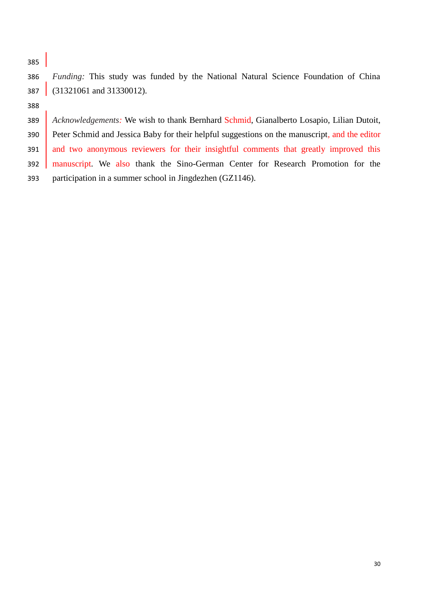*Funding:* This study was funded by the National Natural Science Foundation of China (31321061 and 31330012).

 *Acknowledgements:* We wish to thank Bernhard Schmid, Gianalberto Losapio, Lilian Dutoit, Peter Schmid and Jessica Baby for their helpful suggestions on the manuscript, and the editor 391 and two anonymous reviewers for their insightful comments that greatly improved this manuscript. We also thank the Sino-German Center for Research Promotion for the participation in a summer school in Jingdezhen (GZ1146).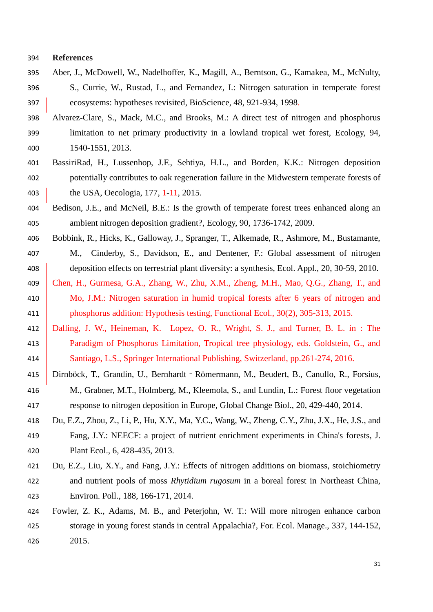#### **References**

- Aber, J., McDowell, W., Nadelhoffer, K., Magill, A., Berntson, G., Kamakea, M., McNulty, S., Currie, W., Rustad, L., and Fernandez, I.: Nitrogen saturation in temperate forest ecosystems: hypotheses revisited, BioScience, 48, 921-934, 1998.
- Alvarez-Clare, S., Mack, M.C., and Brooks, M.: A direct test of nitrogen and phosphorus limitation to net primary productivity in a lowland tropical wet forest, Ecology, 94, 1540-1551, 2013.
- BassiriRad, H., Lussenhop, J.F., Sehtiya, H.L., and Borden, K.K.: Nitrogen deposition potentially contributes to oak regeneration failure in the Midwestern temperate forests of 403 the USA, Oecologia, 177, 1-11, 2015.
- Bedison, J.E., and McNeil, B.E.: Is the growth of temperate forest trees enhanced along an ambient nitrogen deposition gradient?, Ecology, 90, 1736-1742, 2009.
- Bobbink, R., Hicks, K., Galloway, J., Spranger, T., Alkemade, R., Ashmore, M., Bustamante, M., Cinderby, S., Davidson, E., and Dentener, F.: Global assessment of nitrogen 408 deposition effects on terrestrial plant diversity: a synthesis, Ecol. Appl., 20, 30-59, 2010.
- Chen, H., Gurmesa, G.A., Zhang, W., Zhu, X.M., Zheng, M.H., Mao, Q.G., Zhang, T., and 410 Mo, J.M.: Nitrogen saturation in humid tropical forests after 6 years of nitrogen and phosphorus addition: Hypothesis testing, Functional Ecol., 30(2), 305-313, 2015.
- Dalling, J. W., Heineman, K. Lopez, O. R., Wright, S. J., and Turner, B. L. in : The Paradigm of Phosphorus Limitation, Tropical tree physiology, eds. Goldstein, G., and Santiago, L.S., Springer International Publishing, Switzerland, pp.261-274, 2016.
- Dirnböck, T., Grandin, U., Bernhardt‐Römermann, M., Beudert, B., Canullo, R., Forsius, M., Grabner, M.T., Holmberg, M., Kleemola, S., and Lundin, L.: Forest floor vegetation response to nitrogen deposition in Europe, Global Change Biol., 20, 429-440, 2014.
- Du, E.Z., Zhou, Z., Li, P., Hu, X.Y., Ma, Y.C., Wang, W., Zheng, C.Y., Zhu, J.X., He, J.S., and Fang, J.Y.: NEECF: a project of nutrient enrichment experiments in China's forests, J. Plant Ecol., 6, 428-435, 2013.
- Du, E.Z., Liu, X.Y., and Fang, J.Y.: Effects of nitrogen additions on biomass, stoichiometry and nutrient pools of moss *Rhytidium rugosum* in a boreal forest in Northeast China, Environ. Poll., 188, 166-171, 2014.
- Fowler, Z. K., Adams, M. B., and Peterjohn, W. T.: Will more nitrogen enhance carbon storage in young forest stands in central Appalachia?, For. Ecol. Manage., 337, 144-152, 2015.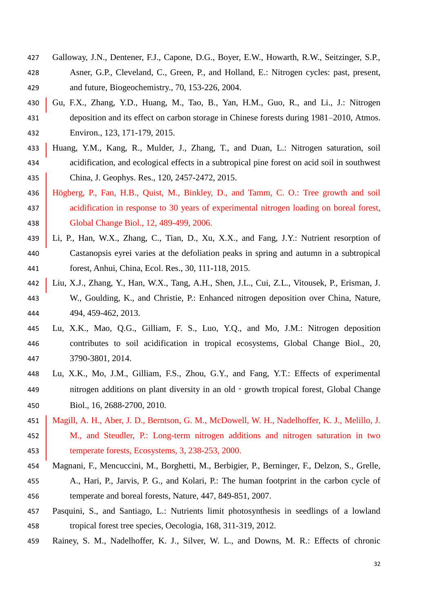- Galloway, J.N., Dentener, F.J., Capone, D.G., Boyer, E.W., Howarth, R.W., Seitzinger, S.P., Asner, G.P., Cleveland, C., Green, P., and Holland, E.: Nitrogen cycles: past, present, and future, Biogeochemistry., 70, 153-226, 2004.
- Gu, F.X., Zhang, Y.D., Huang, M., Tao, B., Yan, H.M., Guo, R., and Li., J.: Nitrogen deposition and its effect on carbon storage in Chinese forests during 1981–2010, Atmos. Environ., 123, 171-179, 2015.
- Huang, Y.M., Kang, R., Mulder, J., Zhang, T., and Duan, L.: Nitrogen saturation, soil acidification, and ecological effects in a subtropical pine forest on acid soil in southwest China, J. Geophys. Res., 120, 2457-2472, 2015.
- Högberg, P., Fan, H.B., Quist, M., Binkley, D., and Tamm, C. O.: Tree growth and soil 437 acidification in response to 30 years of experimental nitrogen loading on boreal forest, Global Change Biol., 12, 489-499, 2006.
- 439 Li, P., Han, W.X., Zhang, C., Tian, D., Xu, X.X., and Fang, J.Y.: Nutrient resorption of Castanopsis eyrei varies at the defoliation peaks in spring and autumn in a subtropical forest, Anhui, China, Ecol. Res., 30, 111-118, 2015.
- Liu, X.J., Zhang, Y., Han, W.X., Tang, A.H., Shen, J.L., Cui, Z.L., Vitousek, P., Erisman, J. W., Goulding, K., and Christie, P.: Enhanced nitrogen deposition over China, Nature, 494, 459-462, 2013.
- Lu, X.K., Mao, Q.G., Gilliam, F. S., Luo, Y.Q., and Mo, J.M.: Nitrogen deposition contributes to soil acidification in tropical ecosystems, Global Change Biol., 20, 3790-3801, 2014.
- Lu, X.K., Mo, J.M., Gilliam, F.S., Zhou, G.Y., and Fang, Y.T.: Effects of experimental nitrogen additions on plant diversity in an old‐growth tropical forest, Global Change Biol., 16, 2688-2700, 2010.
- Magill, A. H., Aber, J. D., Berntson, G. M., McDowell, W. H., Nadelhoffer, K. J., Melillo, J. M., and Steudler, P.: Long-term nitrogen additions and nitrogen saturation in two 453 temperate forests, Ecosystems, 3, 238-253, 2000.
- Magnani, F., Mencuccini, M., Borghetti, M., Berbigier, P., Berninger, F., Delzon, S., Grelle, A., Hari, P., Jarvis, P. G., and Kolari, P.: The human footprint in the carbon cycle of temperate and boreal forests, Nature, 447, 849-851, 2007.
- Pasquini, S., and Santiago, L.: Nutrients limit photosynthesis in seedlings of a lowland tropical forest tree species, Oecologia, 168, 311-319, 2012.
- Rainey, S. M., Nadelhoffer, K. J., Silver, W. L., and Downs, M. R.: Effects of chronic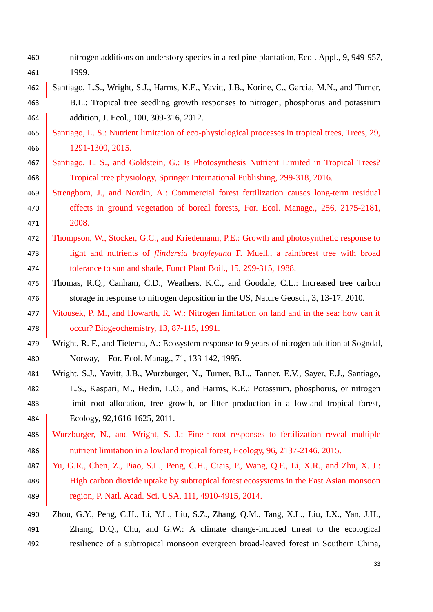- nitrogen additions on understory species in a red pine plantation, Ecol. Appl., 9, 949-957, 1999.
- Santiago, L.S., Wright, S.J., Harms, K.E., Yavitt, J.B., Korine, C., Garcia, M.N., and Turner, B.L.: Tropical tree seedling growth responses to nitrogen, phosphorus and potassium **addition, J. Ecol., 100, 309-316, 2012.**
- Santiago, L. S.: Nutrient limitation of eco-physiological processes in tropical trees, Trees, 29, 1291-1300, 2015.
- 467 Santiago, L. S., and Goldstein, G.: Is Photosynthesis Nutrient Limited in Tropical Trees? Tropical tree physiology, Springer International Publishing, 299-318, 2016.
- Strengbom, J., and Nordin, A.: Commercial forest fertilization causes long-term residual 470 effects in ground vegetation of boreal forests, For. Ecol. Manage., 256, 2175-2181, 2008.
- 472 | Thompson, W., Stocker, G.C., and Kriedemann, P.E.: Growth and photosynthetic response to light and nutrients of *flindersia brayleyana* F. Muell., a rainforest tree with broad 474 tolerance to sun and shade, Funct Plant Boil., 15, 299-315, 1988.
- Thomas, R.Q., Canham, C.D., Weathers, K.C., and Goodale, C.L.: Increased tree carbon <sup>476</sup> storage in response to nitrogen deposition in the US, Nature Geosci., 3, 13-17, 2010.
- Vitousek, P. M., and Howarth, R. W.: Nitrogen limitation on land and in the sea: how can it occur? Biogeochemistry, 13, 87-115, 1991.
- Wright, R. F., and Tietema, A.: Ecosystem response to 9 years of nitrogen addition at Sogndal, Norway, For. Ecol. Manag., 71, 133-142, 1995.
- Wright, S.J., Yavitt, J.B., Wurzburger, N., Turner, B.L., Tanner, E.V., Sayer, E.J., Santiago, L.S., Kaspari, M., Hedin, L.O., and Harms, K.E.: Potassium, phosphorus, or nitrogen limit root allocation, tree growth, or litter production in a lowland tropical forest, Ecology, 92,1616-1625, 2011.
- Wurzburger, N., and Wright, S. J.: Fine‐root responses to fertilization reveal multiple nutrient limitation in a lowland tropical forest, Ecology, 96, 2137-2146. 2015.
- 487 | Yu, G.R., Chen, Z., Piao, S.L., Peng, C.H., Ciais, P., Wang, Q.F., Li, X.R., and Zhu, X. J.: **High carbon dioxide uptake by subtropical forest ecosystems in the East Asian monsoon** region, P. Natl. Acad. Sci. USA, 111, 4910-4915, 2014.

# Zhou, G.Y., Peng, C.H., Li, Y.L., Liu, S.Z., Zhang, Q.M., Tang, X.L., Liu, J.X., Yan, J.H., Zhang, D.Q., Chu, and G.W.: A climate change-induced threat to the ecological resilience of a subtropical monsoon evergreen broad-leaved forest in Southern China,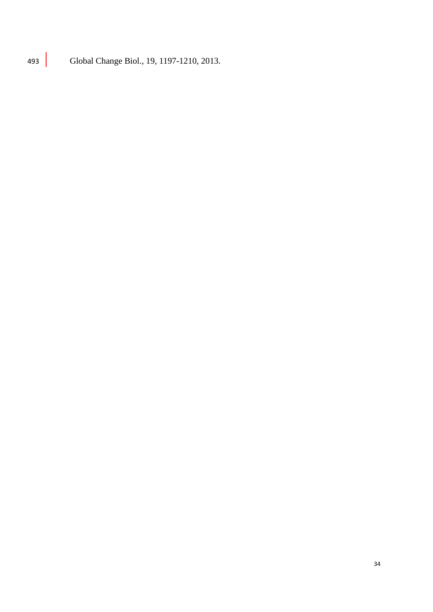493 Global Change Biol., 19, 1197-1210, 2013.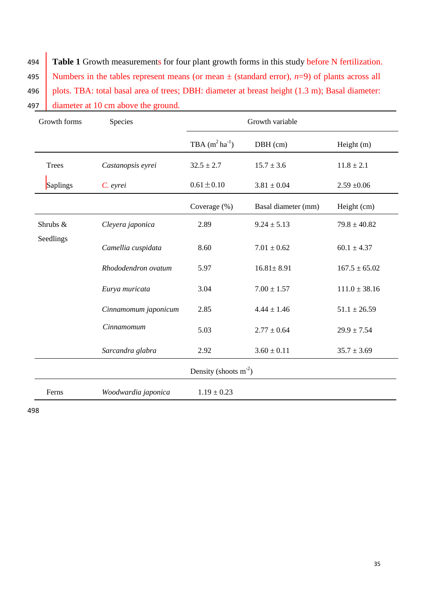494 **Table 1** Growth measurements for four plant growth forms in this study before N fertilization. 495 Numbers in the tables represent means (or mean  $\pm$  (standard error), *n*=9) of plants across all 496 plots. TBA: total basal area of trees; DBH: diameter at breast height (1.3 m); Basal diameter: 497 diameter at 10 cm above the ground.

| Growth forms            | Species              | Growth variable     |                     |                   |
|-------------------------|----------------------|---------------------|---------------------|-------------------|
|                         |                      | TBA $(m^2 ha^{-1})$ | DBH (cm)            | Height (m)        |
| <b>Trees</b>            | Castanopsis eyrei    | $32.5 \pm 2.7$      | $15.7 \pm 3.6$      | $11.8 \pm 2.1$    |
| Saplings                | C. eyrei             | $0.61 \pm 0.10$     | $3.81 \pm 0.04$     | $2.59 + 0.06$     |
|                         |                      | Coverage (%)        | Basal diameter (mm) | Height (cm)       |
| Shrubs &<br>Seedlings   | Cleyera japonica     | 2.89                | $9.24 \pm 5.13$     | $79.8 \pm 40.82$  |
|                         | Camellia cuspidata   | 8.60                | $7.01 \pm 0.62$     | $60.1 \pm 4.37$   |
|                         | Rhododendron ovatum  | 5.97                | $16.81 \pm 8.91$    | $167.5 \pm 65.02$ |
|                         | Eurya muricata       | 3.04                | $7.00 \pm 1.57$     | $111.0 \pm 38.16$ |
|                         | Cinnamomum japonicum | 2.85                | $4.44 \pm 1.46$     | $51.1 \pm 26.59$  |
|                         | Cinnamomum           | 5.03                | $2.77 \pm 0.64$     | $29.9 \pm 7.54$   |
|                         | Sarcandra glabra     | 2.92                | $3.60 \pm 0.11$     | $35.7 \pm 3.69$   |
| Density (shoots $m-2$ ) |                      |                     |                     |                   |
| Ferns                   | Woodwardia japonica  | $1.19 \pm 0.23$     |                     |                   |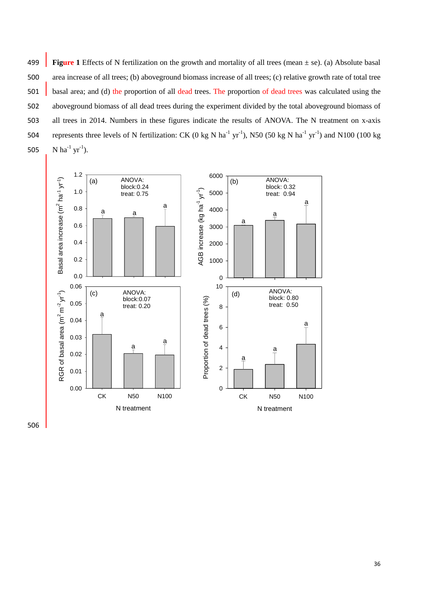499 **Figure 1** Effects of N fertilization on the growth and mortality of all trees (mean ± se). (a) Absolute basal 500 area increase of all trees; (b) aboveground biomass increase of all trees; (c) relative growth rate of total tree 501 basal area; and (d) the proportion of all dead trees. The proportion of dead trees was calculated using the 502 aboveground biomass of all dead trees during the experiment divided by the total aboveground biomass of 503 all trees in 2014. Numbers in these figures indicate the results of ANOVA. The N treatment on x-axis 504 represents three levels of N fertilization: CK (0 kg N ha<sup>-1</sup> yr<sup>-1</sup>), N50 (50 kg N ha<sup>-1</sup> yr<sup>-1</sup>) and N100 (100 kg 505 N ha<sup>-1</sup> yr<sup>-1</sup>).



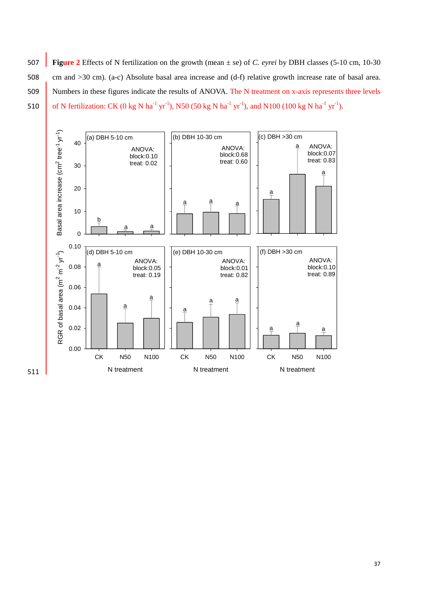**Figure 2** Effects of N fertilization on the growth (mean ± se) of *C. eyrei* by DBH classes (5-10 cm, 10-30 cm and >30 cm). (a-c) Absolute basal area increase and (d-f) relative growth increase rate of basal area. Numbers in these figures indicate the results of ANOVA. The N treatment on x-axis represents three levels 510 of N fertilization: CK (0 kg N ha<sup>-1</sup> yr<sup>-1</sup>), N50 (50 kg N ha<sup>-1</sup> yr<sup>-1</sup>), and N100 (100 kg N ha<sup>-1</sup> yr<sup>-1</sup>).

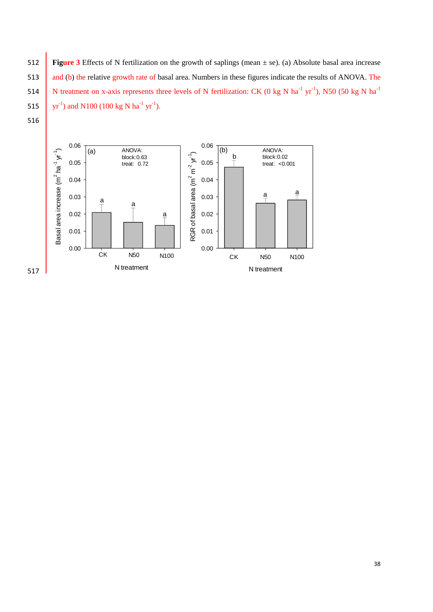512 **Figure 3** Effects of N fertilization on the growth of saplings (mean ± se). (a) Absolute basal area increase 513 and (b) the relative growth rate of basal area. Numbers in these figures indicate the results of ANOVA. The N treatment on x-axis represents three levels of N fertilization: CK (0 kg N ha<sup>-1</sup> yr<sup>-1</sup>), N50 (50 kg N ha<sup>-1</sup> 515 yr<sup>-1</sup>) and N100 (100 kg N ha<sup>-1</sup> yr<sup>-1</sup>).